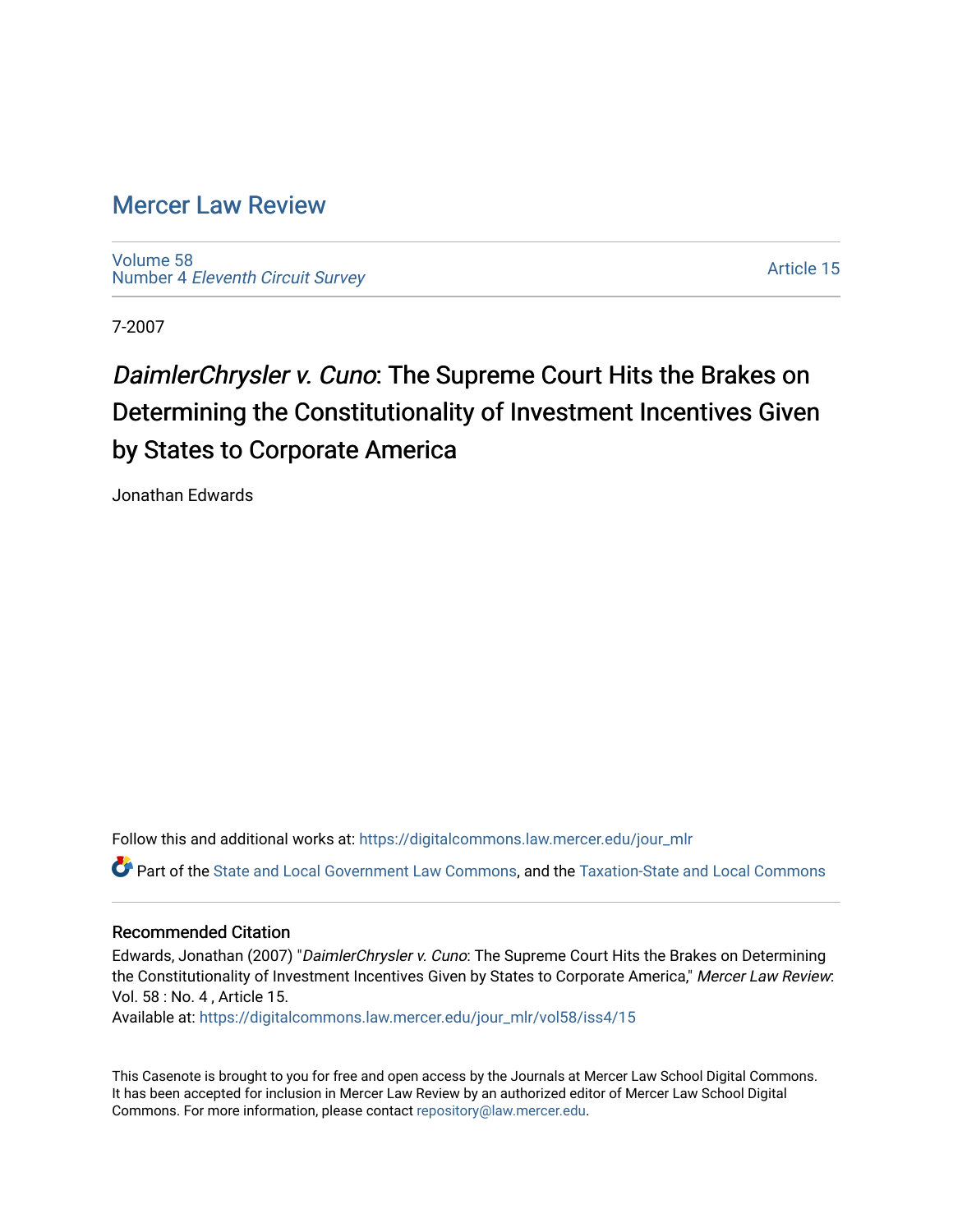### [Mercer Law Review](https://digitalcommons.law.mercer.edu/jour_mlr)

[Volume 58](https://digitalcommons.law.mercer.edu/jour_mlr/vol58) Number 4 [Eleventh Circuit Survey](https://digitalcommons.law.mercer.edu/jour_mlr/vol58/iss4) 

[Article 15](https://digitalcommons.law.mercer.edu/jour_mlr/vol58/iss4/15) 

7-2007

# DaimlerChrysler v. Cuno: The Supreme Court Hits the Brakes on Determining the Constitutionality of Investment Incentives Given by States to Corporate America

Jonathan Edwards

Follow this and additional works at: [https://digitalcommons.law.mercer.edu/jour\\_mlr](https://digitalcommons.law.mercer.edu/jour_mlr?utm_source=digitalcommons.law.mercer.edu%2Fjour_mlr%2Fvol58%2Fiss4%2F15&utm_medium=PDF&utm_campaign=PDFCoverPages) Part of the [State and Local Government Law Commons](http://network.bepress.com/hgg/discipline/879?utm_source=digitalcommons.law.mercer.edu%2Fjour_mlr%2Fvol58%2Fiss4%2F15&utm_medium=PDF&utm_campaign=PDFCoverPages), and the [Taxation-State and Local Commons](http://network.bepress.com/hgg/discipline/882?utm_source=digitalcommons.law.mercer.edu%2Fjour_mlr%2Fvol58%2Fiss4%2F15&utm_medium=PDF&utm_campaign=PDFCoverPages) 

#### Recommended Citation

Edwards, Jonathan (2007) "DaimlerChrysler v. Cuno: The Supreme Court Hits the Brakes on Determining the Constitutionality of Investment Incentives Given by States to Corporate America," Mercer Law Review: Vol. 58 : No. 4 , Article 15.

Available at: [https://digitalcommons.law.mercer.edu/jour\\_mlr/vol58/iss4/15](https://digitalcommons.law.mercer.edu/jour_mlr/vol58/iss4/15?utm_source=digitalcommons.law.mercer.edu%2Fjour_mlr%2Fvol58%2Fiss4%2F15&utm_medium=PDF&utm_campaign=PDFCoverPages) 

This Casenote is brought to you for free and open access by the Journals at Mercer Law School Digital Commons. It has been accepted for inclusion in Mercer Law Review by an authorized editor of Mercer Law School Digital Commons. For more information, please contact [repository@law.mercer.edu.](mailto:repository@law.mercer.edu)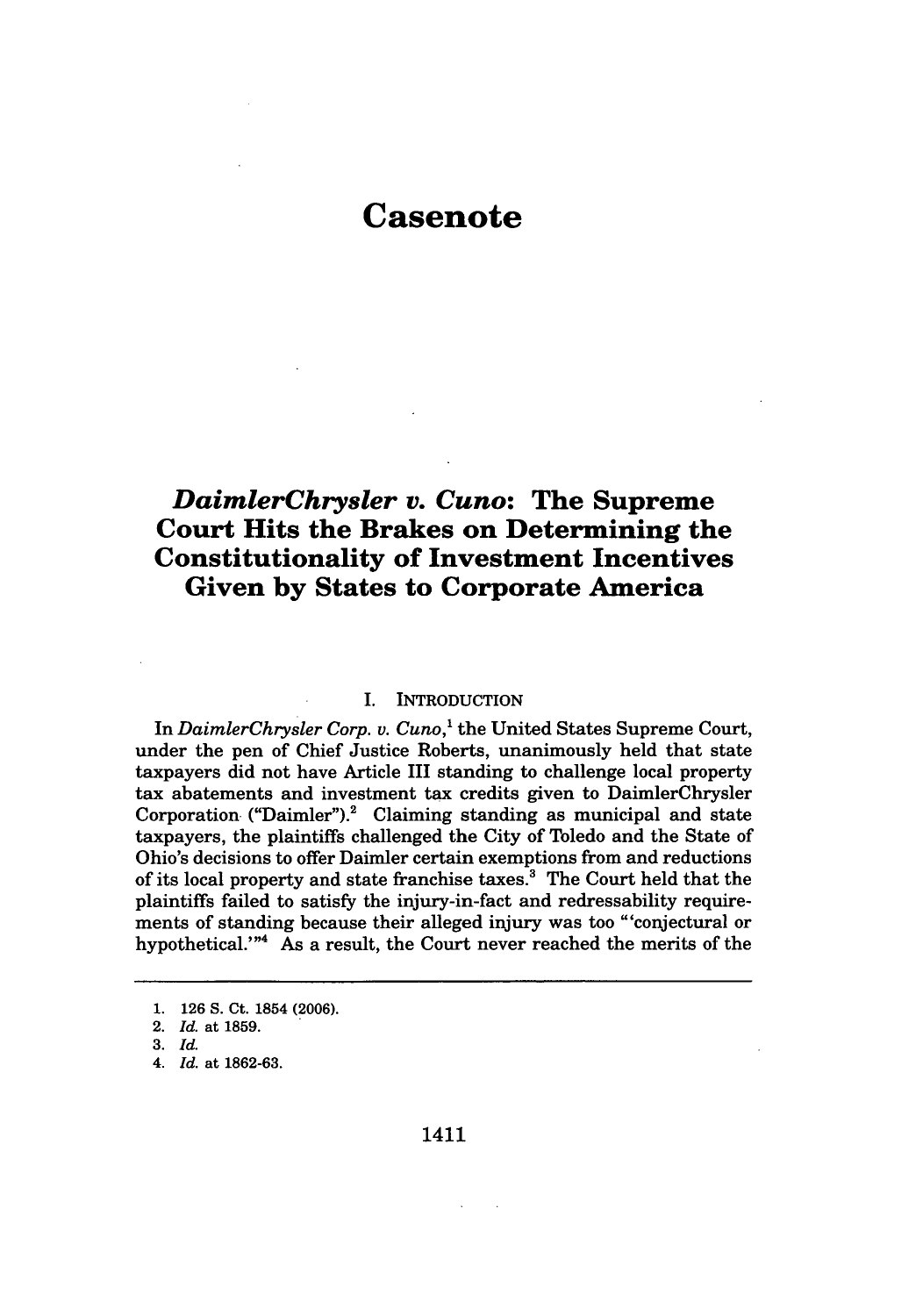## **Casenote**

### *DaimlerChrysler v. Cuno:* **The Supreme Court Hits the Brakes on Determining the Constitutionality of Investment Incentives Given by States to Corporate America**

#### I. INTRODUCTION

In *DaimlerChrysler Corp. v. Cuno,'* the United States Supreme Court, under the pen of Chief Justice Roberts, unanimously held that state taxpayers did not have Article III standing to challenge local property tax abatements and investment tax credits given to DaimlerChrysler Corporation ("Daimler").<sup>2</sup> Claiming standing as municipal and state taxpayers, the plaintiffs challenged the City of Toledo and the State of Ohio's decisions to offer Daimler certain exemptions from and reductions of its local property and state franchise taxes.<sup>3</sup> The Court held that the plaintiffs failed to satisfy the injury-in-fact and redressability requirements of standing because their alleged injury was too "'conjectural or hypothetical."'4 As a result, the Court never reached the merits of the

1411

**<sup>1. 126</sup> S.** Ct. 1854 **(2006).**

<sup>2.</sup> *Id.* at **1859.**

**<sup>3.</sup>** *Id.*

*<sup>4.</sup> Id.* at **1862-63.**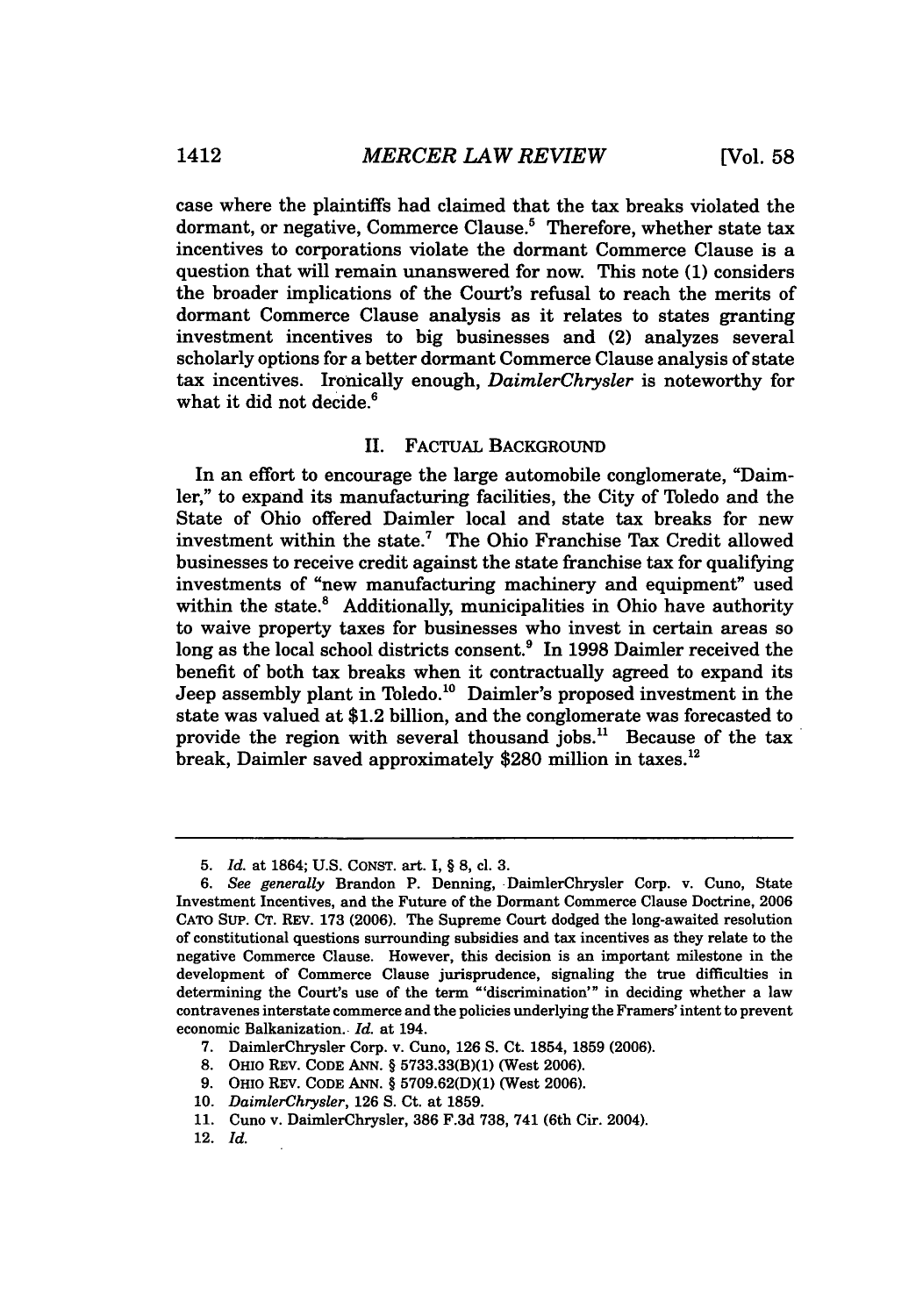case where the plaintiffs had claimed that the tax breaks violated the dormant, or negative, Commerce Clause.<sup>5</sup> Therefore, whether state tax incentives to corporations violate the dormant Commerce Clause is a question that will remain unanswered for now. This note (1) considers the broader implications of the Court's refusal to reach the merits of dormant Commerce Clause analysis as it relates to states granting investment incentives to big businesses and (2) analyzes several scholarly options for a better dormant Commerce Clause analysis of state tax incentives. Ironically enough, *DaimlerChrysler* is noteworthy for what it did not decide.<sup>6</sup>

#### II. FACTUAL BACKGROUND

In an effort to encourage the large automobile conglomerate, "Daimler," to expand its manufacturing facilities, the City of Toledo and the State of Ohio offered Daimler local and state tax breaks for new investment within the state.7 The Ohio Franchise Tax Credit allowed businesses to receive credit against the state franchise tax for qualifying investments of "new manufacturing machinery and equipment" used within the state.<sup>8</sup> Additionally, municipalities in Ohio have authority to waive property taxes for businesses who invest in certain areas so long as the local school districts consent.<sup>9</sup> In 1998 Daimler received the benefit of both tax breaks when it contractually agreed to expand its Jeep assembly plant in Toledo.<sup>10</sup> Daimler's proposed investment in the state was valued at \$1.2 billion, and the conglomerate was forecasted to provide the region with several thousand jobs." Because of the tax break, Daimler saved approximately \$280 million in taxes.<sup>12</sup>

- 8. OHio REV. **CODE** ANN. § 5733.33(B)(1) (West 2006).
- 9. OHIO REV. CODE ANN. § 5709.62(D)(1) (West 2006).
- 10. *DaimlerChrysler,* 126 **S.** Ct. at 1859.

12. *Id.*

<sup>5.</sup> *Id.* at 1864; U.S. CONST. art. I, § **8,** cl. **3.**

*<sup>6.</sup> See generally* Brandon P. Denning, DaimlerChrysler Corp. v. Cuno, State Investment Incentives, and the Future of the Dormant Commerce Clause Doctrine, 2006 CATO SUP. **CT.** REV. **173** (2006). The Supreme Court dodged the long-awaited resolution of constitutional questions surrounding subsidies and tax incentives as they relate to the negative Commerce Clause. However, this decision is an important milestone in the development of Commerce Clause jurisprudence, signaling the true difficulties in determining the Court's use of the term "'discrimination'" in deciding whether a law contravenes interstate commerce and the policies underlying the Framers' intent to prevent economic Balkanization.. *Id.* at 194.

**<sup>7.</sup>** DaimlerChrysler Corp. v. Cuno, **126 S.** Ct. 1854, 1859 (2006).

<sup>11.</sup> Cuno v. DaimlerChrysler, **386 F.3d** 738, 741 (6th Cir. 2004).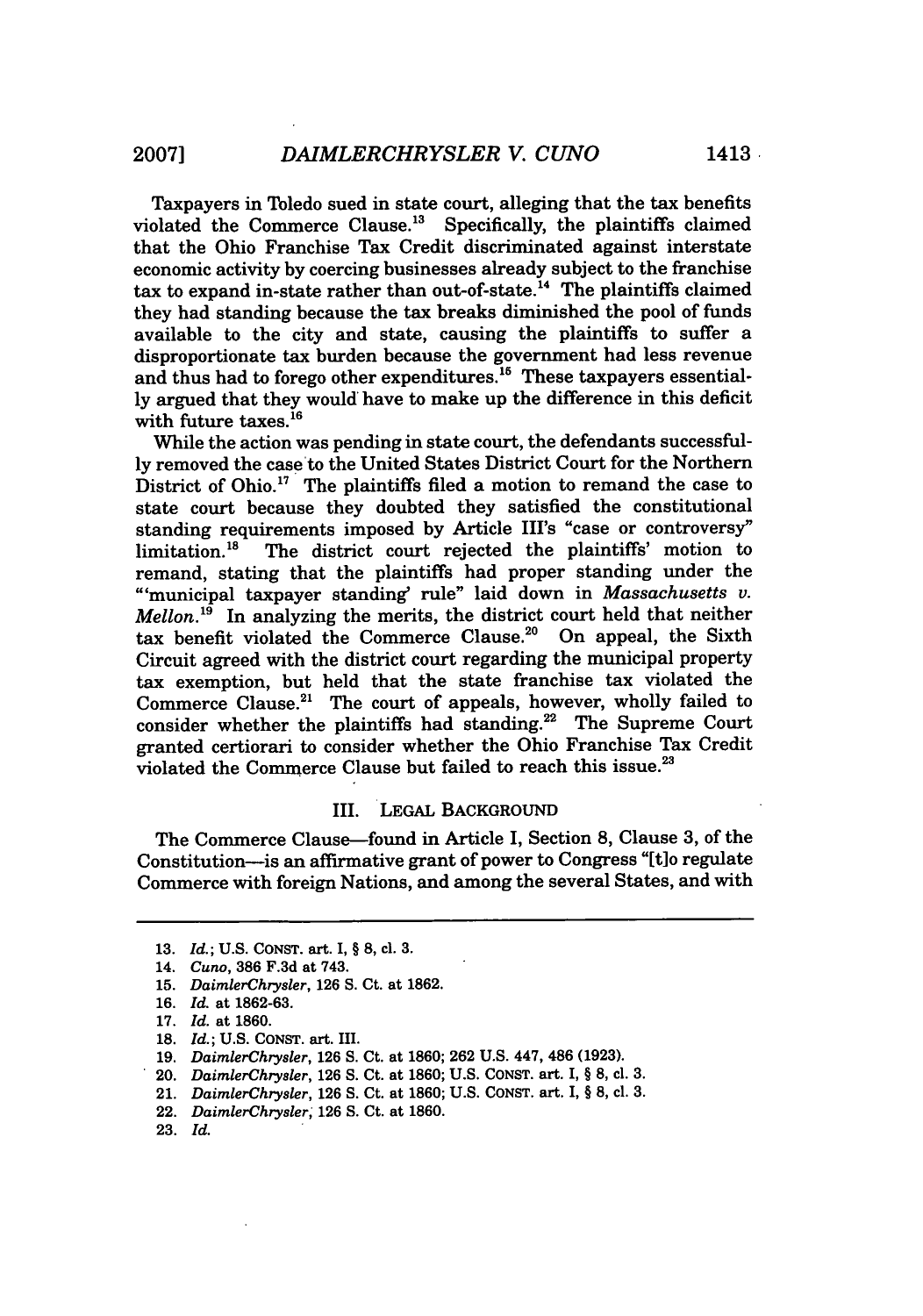Taxpayers in Toledo sued in state court, alleging that the tax benefits violated the Commerce Clause.<sup>13</sup> Specifically, the plaintiffs claimed that the Ohio Franchise Tax Credit discriminated against interstate economic activity by coercing businesses already subject to the franchise tax to expand in-state rather than out-of-state.<sup>14</sup> The plaintiffs claimed they had standing because the tax breaks diminished the pool of funds available to the city and state, causing the plaintiffs to suffer a disproportionate tax burden because the government had less revenue and thus had to forego other expenditures.'5 These taxpayers essentially argued that they would have to make up the difference in this deficit with future taxes.<sup>16</sup>

While the action was pending in state court, the defendants successfully removed the case to the United States District Court for the Northern District of Ohio.<sup>17</sup> The plaintiffs filed a motion to remand the case to state court because they doubted they satisfied the constitutional standing requirements imposed by Article III's "case or controversy" limitation.'8 The district court rejected the plaintiffs' motion to remand, stating that the plaintiffs had proper standing under the "'municipal taxpayer standing' rule" laid down in *Massachusetts* v. *Mellon.*<sup>19</sup> In analyzing the merits, the district court held that neither tax benefit violated the Commerce Clause.<sup>20</sup> On appeal, the Sixth Circuit agreed with the district court regarding the municipal property tax exemption, but held that the state franchise tax violated the Commerce Clause.<sup>21</sup> The court of appeals, however, wholly failed to consider whether the plaintiffs had standing.<sup>22</sup> The Supreme Court granted certiorari to consider whether the Ohio Franchise Tax Credit violated the Commerce Clause but failed to reach this issue. $^{22}$ 

#### III. LEGAL BACKGROUND

The Commerce Clause-found in Article I, Section 8, Clause 3, of the Constitution-is an affirmative grant of power to Congress "[t]o regulate Commerce with foreign Nations, and among the several States, and with

<sup>13.</sup> *Id.*; U.S. CONST. art. I, § 8, cl. 3.

<sup>14.</sup> *Cuno,* 386 F.3d at 743.

<sup>15.</sup> *DaimlerChrysler,* 126 S. Ct. at 1862.

<sup>16.</sup> *Id.* at 1862-63.

<sup>17.</sup> *Id.* at 1860.

<sup>18.</sup> *Id.;* U.S. **CONST.** art. III.

<sup>19.</sup> *DaimlerChrysler,* 126 S. Ct. at 1860; 262 U.S. 447, 486 (1923).

<sup>20.</sup> *DaimlerChrysler,* 126 **S.** Ct. at 1860; U.S. CONST. art. I, § 8, cl. 3.

<sup>21.</sup> *DaimlerChrysler,* 126 **S.** Ct. at 1860; U.S. CONST. art. I, § 8, **c. 3.**

<sup>22.</sup> *DaimlerChrysler* 126 **S.** Ct. at 1860.

<sup>23.</sup> *Id.*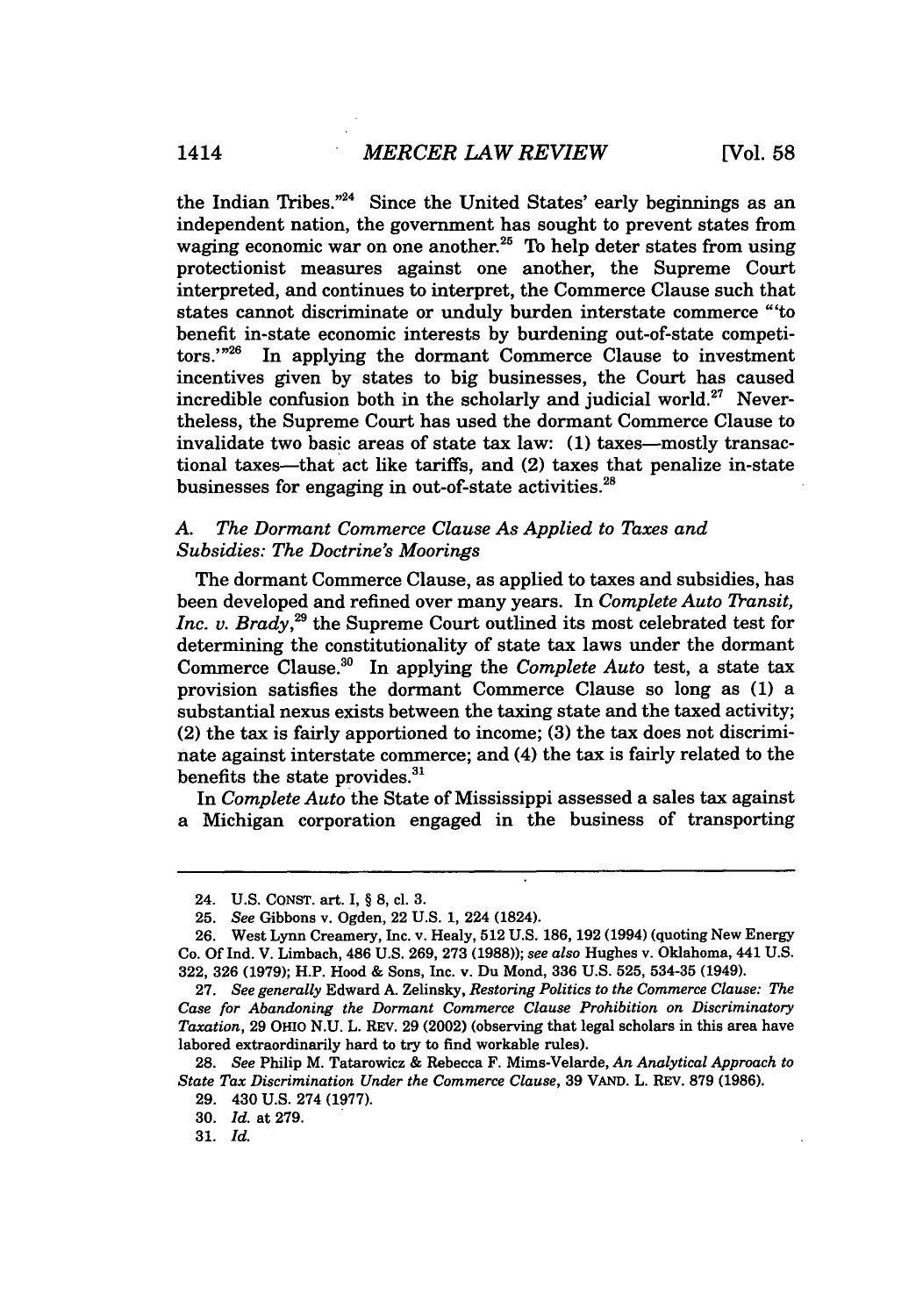the Indian Tribes."24 Since the United States' early beginnings as an independent nation, the government has sought to prevent states from waging economic war on one another.<sup>25</sup> To help deter states from using protectionist measures against one another, the Supreme Court interpreted, and continues to interpret, the Commerce Clause such that states cannot discriminate or unduly burden interstate commerce "'to benefit in-state economic interests by burdening out-of-state competitors.'"<sup>26</sup> In applying the dormant Commerce Clause to investment incentives given by states to big businesses, the Court has caused incredible confusion both in the scholarly and judicial world.<sup>27</sup> Nevertheless, the Supreme Court has used the dormant Commerce Clause to invalidate two basic areas of state tax law: (1) taxes-mostly transactional taxes-that act like tariffs, and (2) taxes that penalize in-state businesses for engaging in out-of-state activities. $^{28}$ 

#### *A. The Dormant Commerce Clause As Applied to Taxes and Subsidies: The Doctrine's Moorings*

The dormant Commerce Clause, as applied to taxes and subsidies, has been developed and refined over many years. In *Complete Auto Transit, Inc. v. Brady,29* the Supreme Court outlined its most celebrated test for determining the constitutionality of state tax laws under the dormant Commerce Clause.<sup>30</sup> In applying the *Complete Auto* test, a state tax provision satisfies the dormant Commerce Clause so long as (1) a substantial nexus exists between the taxing state and the taxed activity; (2) the tax is fairly apportioned to income; (3) the tax does not discriminate against interstate commerce; and (4) the tax is fairly related to the benefits the state provides.<sup>31</sup>

In *Complete Auto* the State of Mississippi assessed a sales tax against a Michigan corporation engaged in the business of transporting

**30.** *Id.* at **279.**

**31.** *Id.*

<sup>24.</sup> U.S. CONST. art. I, § 8, cl. 3.

<sup>25.</sup> *See* Gibbons v. Ogden, 22 U.S. 1, 224 (1824).

<sup>26.</sup> West Lynn Creamery, Inc. v. Healy, 512 U.S. 186, 192 (1994) (quoting New Energy Co. Of Ind. V. Limbach, 486 U.S. 269, 273 (1988)); *see also* Hughes v. Oklahoma, 441 U.S. 322, 326 (1979); H.P. Hood & Sons, Inc. v. Du Mond, 336 U.S. 525, 534-35 (1949).

<sup>27.</sup> *See generally* Edward A. Zelinsky, *Restoring Politics to the Commerce Clause: The Case for Abandoning the Dormant Commerce Clause Prohibition on Discriminatory Taxation,* **29** OHio **N.U.** L. REV. **29** (2002) (observing that legal scholars in this area have labored extraordinarily hard to try to find workable rules).

**<sup>28.</sup>** *See* Philip M. Tatarowicz **&** Rebecca F. Mims-Velarde, *An Analytical Approach to State Tax Discrimination Under the Commerce Clause,* **39 VAND.** L. REV. **879 (1986).**

**<sup>29.</sup>** 430 **U.S.** 274 **(1977).**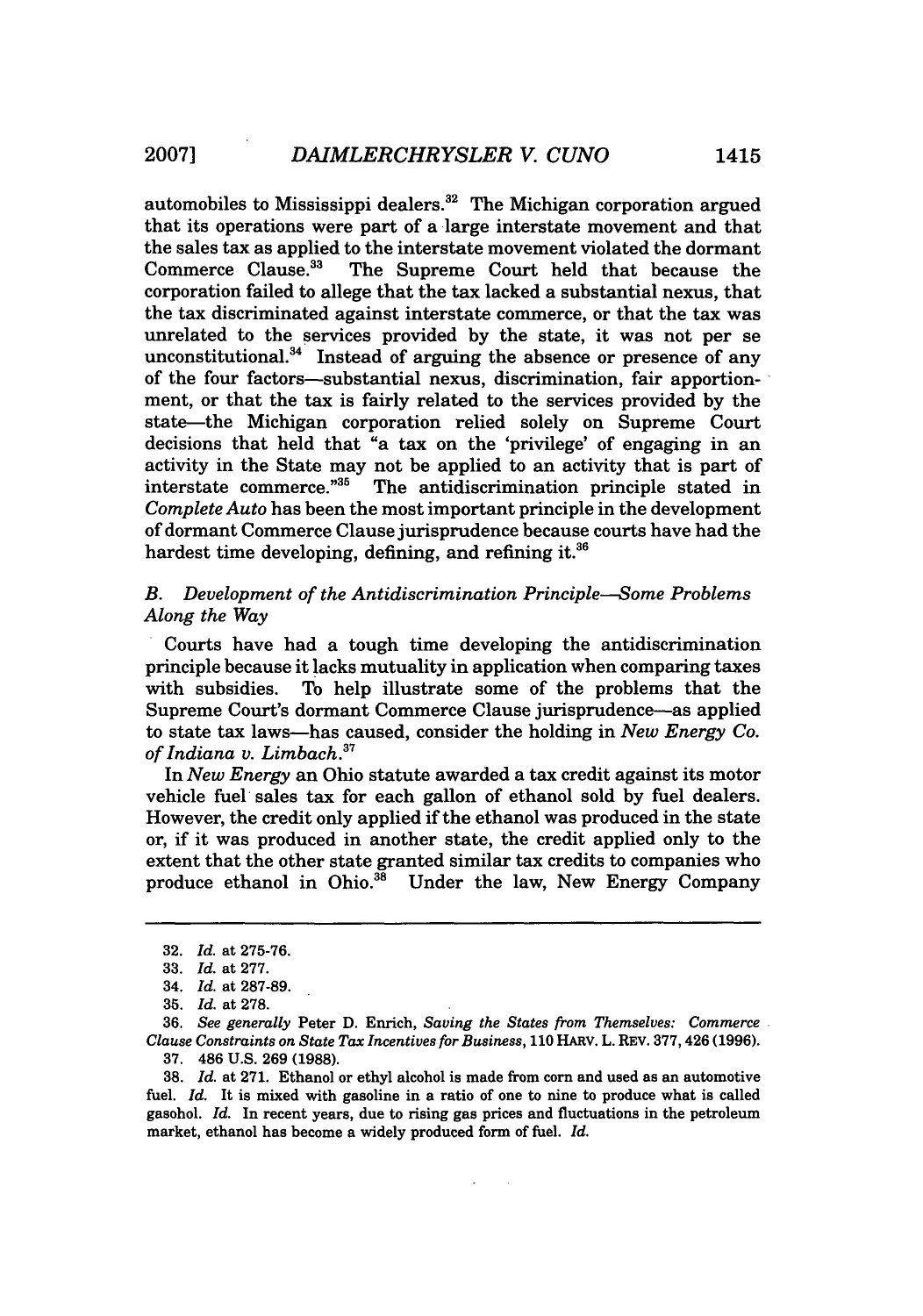automobiles to Mississippi dealers. $32$  The Michigan corporation argued that its operations were part of a large interstate movement and that the sales tax as applied to the interstate movement violated the dormant<br>Commerce Clause.<sup>33</sup> The Supreme Court held that because the The Supreme Court held that because the corporation failed to allege that the tax lacked a substantial nexus, that the tax discriminated against interstate commerce, or that the tax was unrelated to the services provided by the state, it was not per se unconstitutional. $34$  Instead of arguing the absence or presence of any of the four factors-substantial nexus, discrimination, fair apportionment, or that the tax is fairly related to the services provided by the state—the Michigan corporation relied solely on Supreme Court decisions that held that "a tax on the 'privilege' of engaging in an activity in the State may not be applied to an activity that is part of interstate commerce.<sup>735</sup> The antidiscrimination principle stated in The antidiscrimination principle stated in *Complete Auto* has been the most important principle in the development of dormant Commerce Clause jurisprudence because courts have had the hardest time developing, defining, and refining it.<sup>36</sup>

#### *B. Development of the Antidiscrimination Principle-Some Problems Along the Way*

Courts have had a tough time developing the antidiscrimination principle because it lacks mutuality in application when comparing taxes with subsidies. To help illustrate some of the problems that the Supreme Court's dormant Commerce Clause jurisprudence-as applied to state tax laws-has caused, consider the holding in *New Energy Co. of Indiana v. Limbach.3 <sup>7</sup>*

In *New Energy* an Ohio statute awarded a tax credit against its motor vehicle fuel sales tax for each gallon of ethanol sold by fuel dealers. However, the credit only applied if the ethanol was produced in the state or, if it was produced in another state, the credit applied only to the extent that the other state granted similar tax credits to companies who produce ethanol in Ohio. $38$  Under the law, New Energy Company

<sup>32.</sup> *Id.* at 275-76.

<sup>33.</sup> *Id.* at 277.

<sup>34.</sup> *Id.* at 287-89.

**<sup>35.</sup>** *Id.* at 278.

**<sup>36.</sup>** *See generally* Peter **D.** Enrich, *Saving the States from Themselves: Commerce Clause Constraints on State Tax Incentives for Business,* 110 HARV. L. REV. 377,426 (1996). 37. 486 U.S. 269 **(1988).**

**<sup>38.</sup>** *Id.* at 271. Ethanol or ethyl alcohol is made from corn and used as an automotive fuel. *Id.* It is mixed with gasoline in a ratio of one to nine to produce what is called gasohol. *Id.* In recent years, due to rising gas prices and fluctuations in the petroleum market, ethanol has become a widely produced form of fuel. *Id.*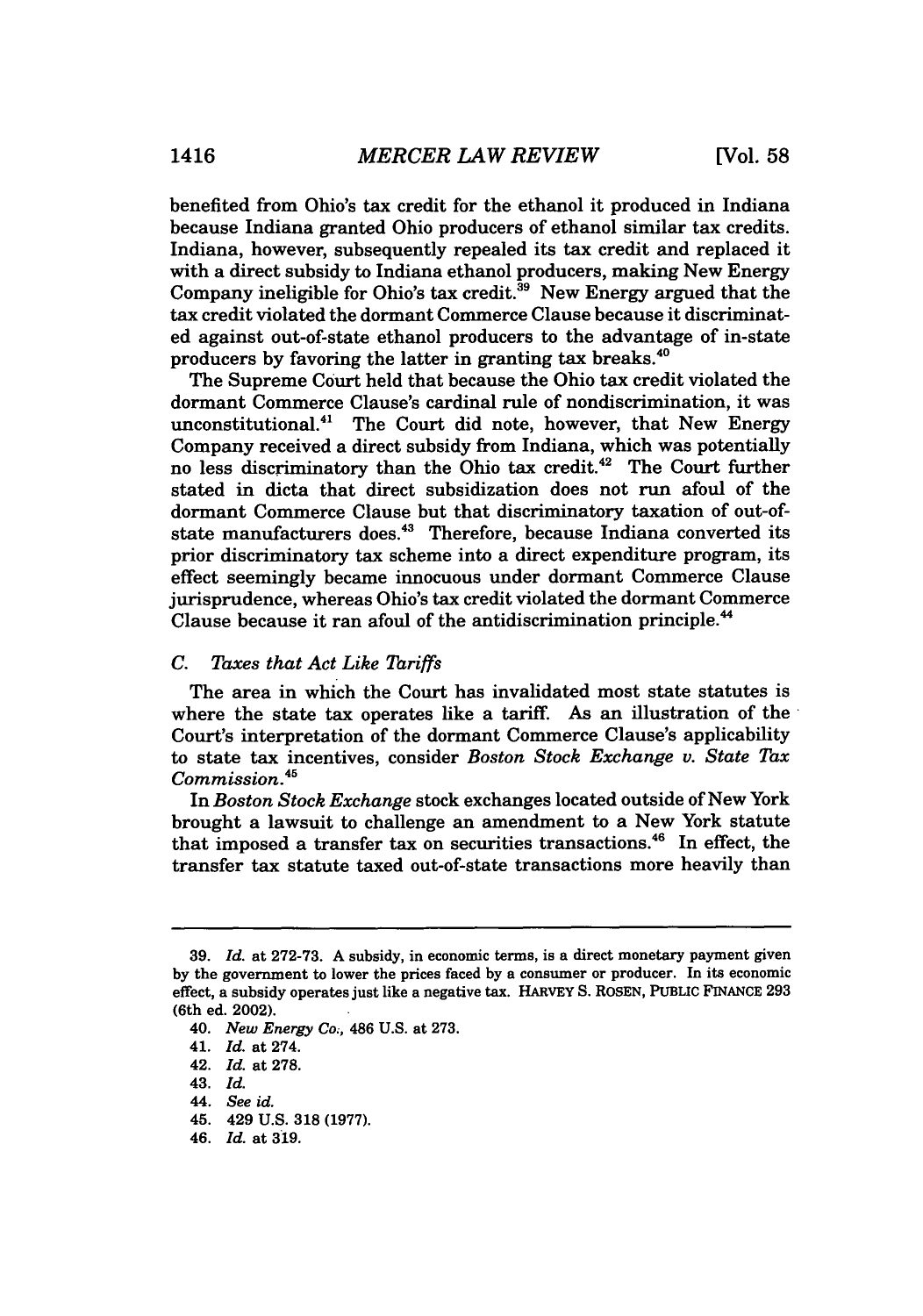benefited from Ohio's tax credit for the ethanol it produced in Indiana because Indiana granted Ohio producers of ethanol similar tax credits. Indiana, however, subsequently repealed its tax credit and replaced it with a direct subsidy to Indiana ethanol producers, making New Energy Company ineligible for Ohio's tax credit. $39$  New Energy argued that the tax credit violated the dormant Commerce Clause because it discriminated against out-of-state ethanol producers to the advantage of in-state producers by favoring the latter in granting tax breaks.4°

The Supreme Court held that because the Ohio tax credit violated the dormant Commerce Clause's cardinal rule of nondiscrimination, it was unconstitutional.<sup>41</sup> The Court did note, however, that New Energy Company received a direct subsidy from Indiana, which was potentially no less discriminatory than the Ohio tax credit.<sup>42</sup> The Court further stated in dicta that direct subsidization does not run afoul of the dormant Commerce Clause but that discriminatory taxation of out-ofstate manufacturers does.<sup>43</sup> Therefore, because Indiana converted its prior discriminatory tax scheme into a direct expenditure program, its effect seemingly became innocuous under dormant Commerce Clause jurisprudence, whereas Ohio's tax credit violated the dormant Commerce Clause because it ran afoul of the antidiscrimination principle. <sup>44</sup>

#### *C. Taxes that Act Like Tariffs*

The area in which the Court has invalidated most state statutes is where the state tax operates like a tariff. As an illustration of the Court's interpretation of the dormant Commerce Clause's applicability to state tax incentives, consider *Boston Stock Exchange v. State Tax Commission.45*

In *Boston Stock Exchange* stock exchanges located outside of New York brought a lawsuit to challenge an amendment to a New York statute that imposed a transfer tax on securities transactions.<sup>46</sup> In effect, the transfer tax statute taxed out-of-state transactions more heavily than

**<sup>39.</sup>** *Id.* at 272-73. A subsidy, in economic terms, is a direct monetary payment given by the government to lower the prices faced by a consumer or producer. In its economic effect, a subsidy operates just like a negative tax. **HARVEY** S. ROSEN, PUBLIC FINANCE 293 (6th ed. 2002).

<sup>40.</sup> *New Energy Co.,* 486 U.S. at 273.

<sup>41.</sup> *Id.* at 274.

<sup>42.</sup> *Id.* at 278.

<sup>43.</sup> *Id.*

<sup>44.</sup> *See id.*

<sup>45. 429</sup> **U.S.** 318 (1977).

<sup>46.</sup> *Id.* at 319.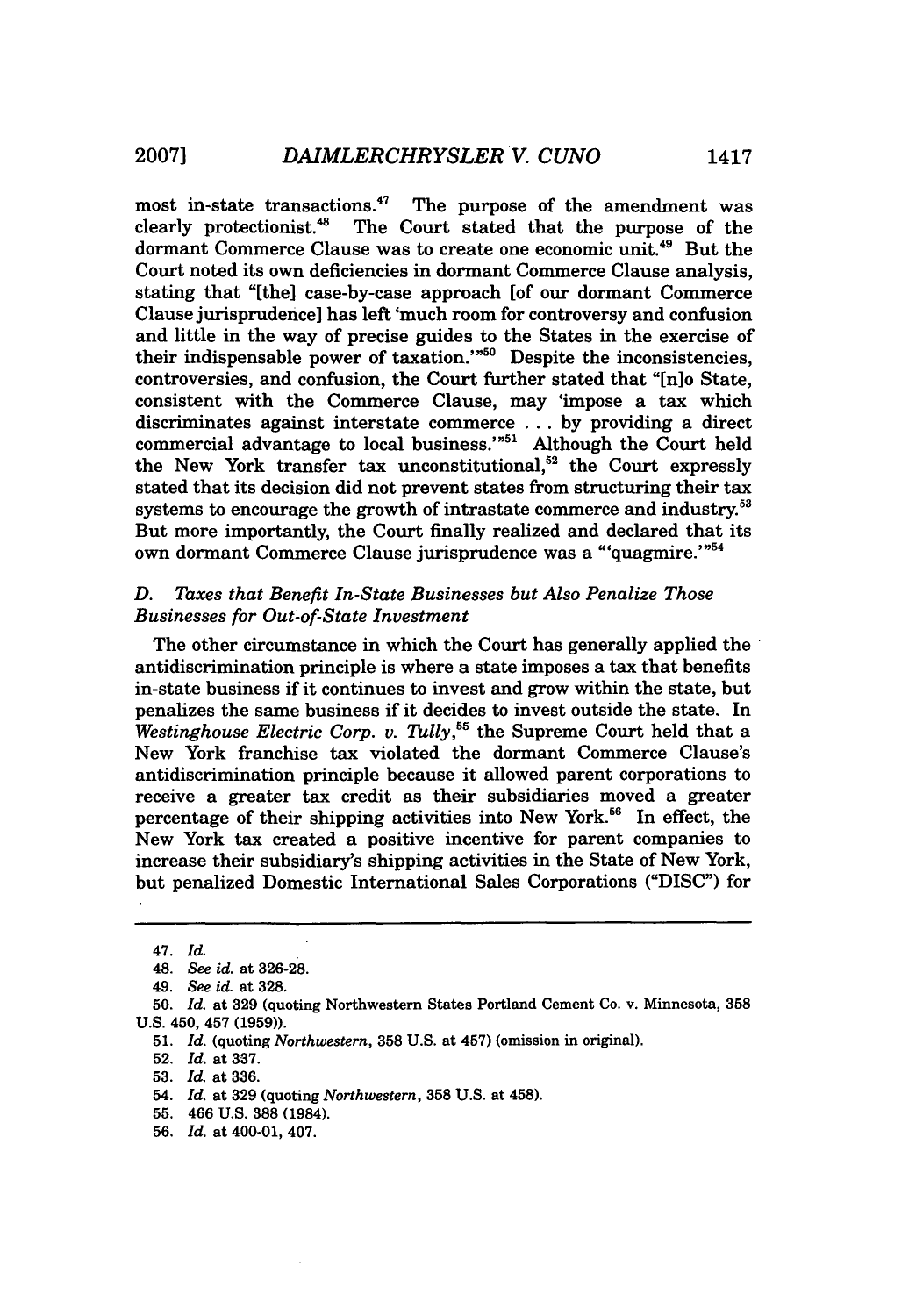most in-state transactions.<sup>47</sup> The purpose of the amendment was clearly protectionist." The Court stated that the purpose of the dormant Commerce Clause was to create one economic unit.<sup>49</sup> But the Court noted its own deficiencies in dormant Commerce Clause analysis, stating that "[the] case-by-case approach [of our dormant Commerce Clause jurisprudence] has left 'much room for controversy and confusion and little in the way of precise guides to the States in the exercise of their indispensable power of taxation. $1^{60}$  Despite the inconsistencies, controversies, and confusion, the Court further stated that "[n]o State, consistent with the Commerce Clause, may 'impose a tax which discriminates against interstate commerce ... by providing a direct commercial advantage to local business.'<sup>"51</sup> Although the Court held the New York transfer tax unconstitutional, $52$  the Court expressly stated that its decision did not prevent states from structuring their tax systems to encourage the growth of intrastate commerce and industry.<sup>53</sup> But more importantly, the Court finally realized and declared that its own dormant Commerce Clause jurisprudence was a "'quagmire.'"<sup>54</sup>

#### *D. Taxes that Benefit In-State Businesses but Also Penalize Those* **Businesses for Out-of-State Investment**

The other circumstance in which the Court has generally applied the antidiscrimination principle is where a state imposes a tax that benefits in-state business if it continues to invest and grow within the state, but penalizes the same business if it decides to invest outside the state. In *Westinghouse Electric Corp. v. Tully,55* the Supreme Court held that a New York franchise tax violated the dormant Commerce Clause's antidiscrimination principle because it allowed parent corporations to receive a greater tax credit as their subsidiaries moved a greater percentage of their shipping activities into New York.<sup>56</sup> In effect, the New York tax created a positive incentive for parent companies to increase their subsidiary's shipping activities in the State of New York, but penalized Domestic International Sales Corporations ("DISC") for

<sup>47.</sup> *Id.*

<sup>48.</sup> *See id.* at 326-28.

<sup>49.</sup> *See id.* at 328.

**<sup>50.</sup>** *Id.* at **329** (quoting Northwestern States Portland Cement Co. v. Minnesota, **358 U.S.** 450, 457 **(1959)).**

**<sup>51.</sup>** *Id.* (quoting *Northwestern,* **358 U.S.** at 457) (omission in original).

**<sup>52.</sup>** *Id.* at **337.**

**<sup>53.</sup>** *Id.* at **336.**

<sup>54.</sup> *Id.* at **329** (quoting *Northwestern,* **358 U.S.** at 458).

**<sup>55.</sup>** 466 **U.S. 388** (1984).

**<sup>56.</sup>** *Id.* at 400-01, 407.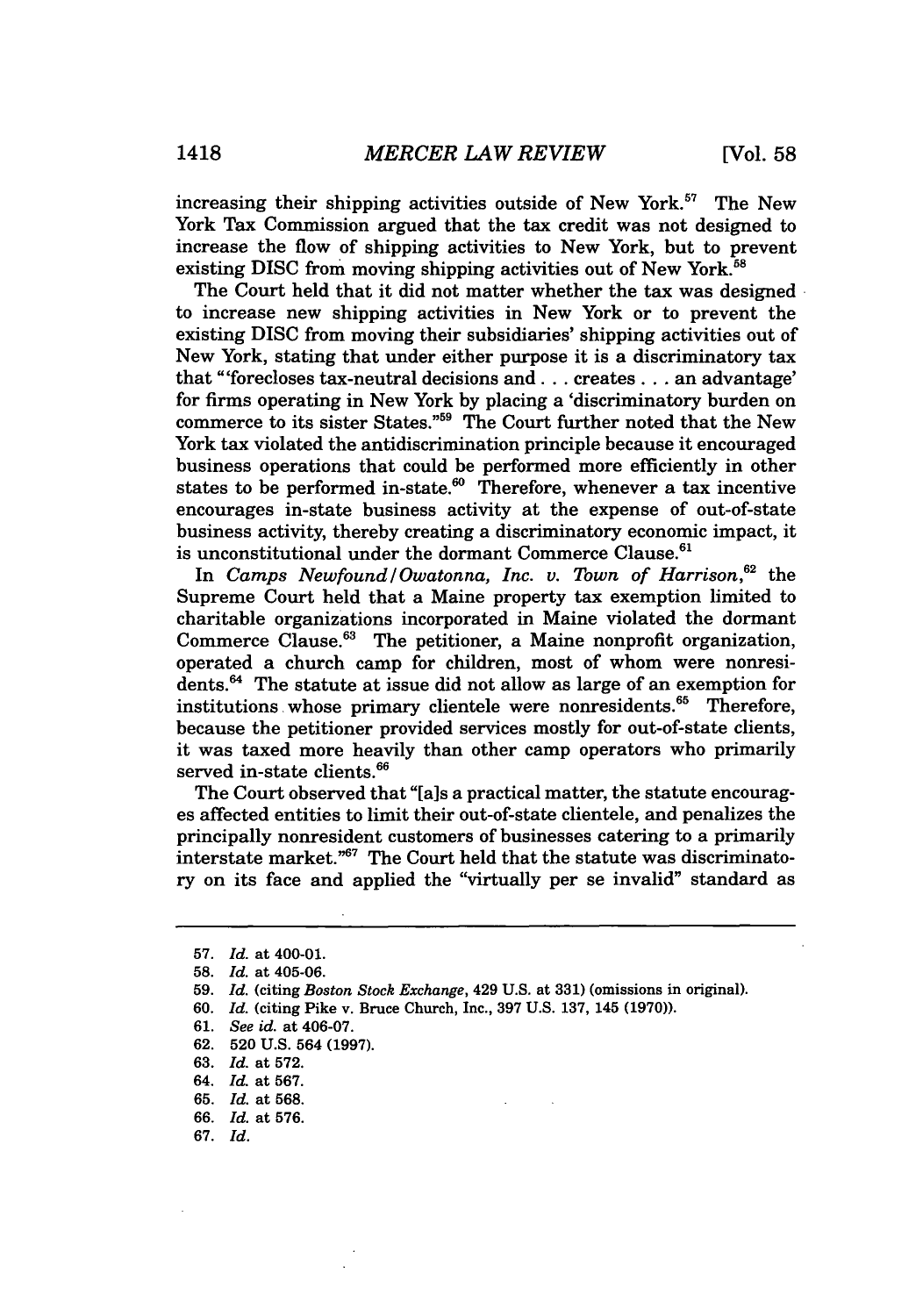increasing their shipping activities outside of New York.<sup>57</sup> The New York Tax Commission argued that the tax credit was not designed to increase the flow of shipping activities to New York, but to prevent existing DISC from moving shipping activities out of New York.<sup>58</sup>

The Court held that it did not matter whether the tax was designed to increase new shipping activities in New York or to prevent the existing DISC from moving their subsidiaries' shipping activities out of New York, stating that under either purpose it is a discriminatory tax that "'forecloses tax-neutral decisions and **...** creates **...** an advantage' for firms operating in New York by placing a 'discriminatory burden on commerce to its sister States."59 The Court further noted that the New York tax violated the antidiscrimination principle because it encouraged business operations that could be performed more efficiently in other states to be performed in-state. $60$  Therefore, whenever a tax incentive encourages in-state business activity at the expense of out-of-state business activity, thereby creating a discriminatory economic impact, it is unconstitutional under the dormant Commerce Clause. $61$ 

In *Camps Newfound/Owatonna, Inc. v. Town of Harrison.*<sup>62</sup> the Supreme Court held that a Maine property tax exemption limited to charitable organizations incorporated in Maine violated the dormant Commerce Clause.<sup>63</sup> The petitioner, a Maine nonprofit organization, operated a church camp for children, most of whom were nonresidents. 64 The statute at issue did not allow as large of an exemption for institutions whose primary clientele were nonresidents.<sup>65</sup> Therefore, because the petitioner provided services mostly for out-of-state clients, it was taxed more heavily than other camp operators who primarily served in-state clients.<sup>66</sup>

The Court observed that "[a]s a practical matter, the statute encourages affected entities to limit their out-of-state clientele, and penalizes the principally nonresident customers of businesses catering to a primarily interstate market."67 The Court held that the statute was discriminatory on its face and applied the "virtually per se invalid" standard as

60. *Id.* (citing Pike v. Bruce Church, Inc., 397 U.S. 137, 145 (1970)).

- 62. 520 U.S. 564 (1997).
- 63. *Id.* at 572.
- 64. *Id.* at 567.
- 65. *Id.* at 568.
- 66. *Id.* at 576.
- 67. Id.

**<sup>57.</sup>** *Id.* at 400-01.

<sup>58.</sup> *Id.* at 405-06.

<sup>59.</sup> *Id.* (citing *Boston Stock Exchange,* 429 U.S. at 331) (omissions in original).

<sup>61.</sup> *See id.* at 406-07.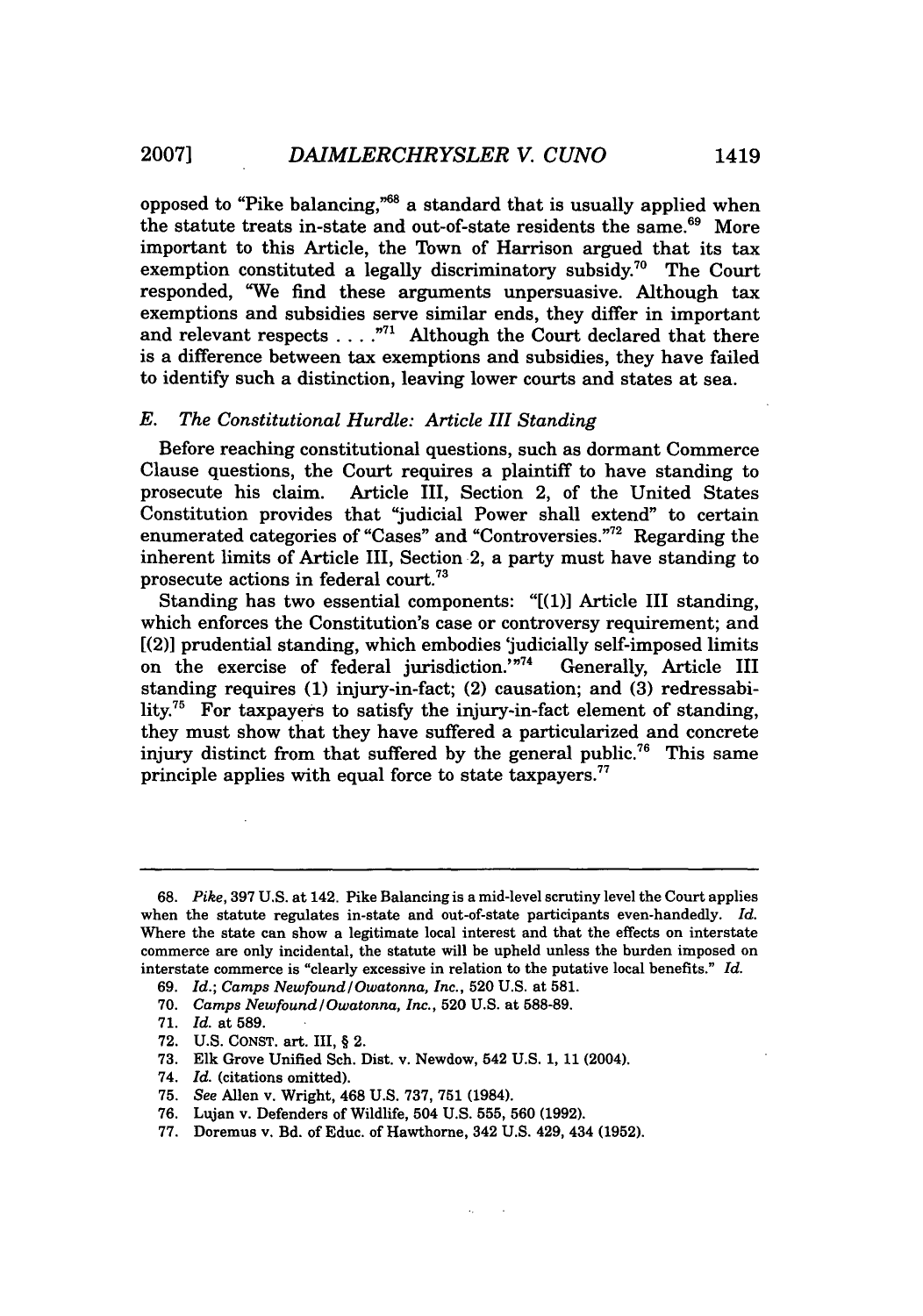opposed to "Pike balancing,"8 a standard that is usually applied when the statute treats in-state and out-of-state residents the same.<sup>69</sup> More important to this Article, the Town of Harrison argued that its tax exemption constituted a legally discriminatory subsidy.70 The Court responded, "We find these arguments unpersuasive. Although tax exemptions and subsidies serve similar ends, they differ in important and relevant respects  $\dots$ ."<sup>71</sup> Although the Court declared that there is a difference between tax exemptions and subsidies, they have failed to identify such a distinction, leaving lower courts and states at sea.

#### *E. The Constitutional Hurdle: Article III Standing*

Before reaching constitutional questions, such as dormant Commerce Clause questions, the Court requires a plaintiff to have standing to prosecute his claim. Article III, Section 2, of the United States Constitution provides that "judicial Power shall extend" to certain enumerated categories of "Cases" and "Controversies."72 Regarding the inherent limits of Article III, Section 2, a party must have standing to prosecute actions in federal court.<sup>73</sup>

Standing has two essential components: "[(1)] Article III standing, which enforces the Constitution's case or controversy requirement; and [(2)] prudential standing, which embodies 'judicially self-imposed limits on the exercise of federal jurisdiction.'"<sup>74</sup> Generally, Article III standing requires **(1)** injury-in-fact; (2) causation; and **(3)** redressability.<sup>75</sup> For taxpayers to satisfy the injury-in-fact element of standing, they must show that they have suffered a particularized and concrete injury distinct from that suffered by the general public.<sup>76</sup> This same principle applies with equal force to state taxpayers.<sup>77</sup>

<sup>68.</sup> *Pike,* 397 U.S. at 142. Pike Balancing is a mid-level scrutiny level the Court applies when the statute regulates in-state and out-of-state participants even-handedly. *Id.* Where the state can show a legitimate local interest and that the effects on interstate commerce are only incidental, the statute will be upheld unless the burden imposed on interstate commerce is "clearly excessive in relation to the putative local benefits." *Id.*

<sup>69.</sup> *Id.; Camps Newfound/Owatonna, Inc.,* **520** U.S. at 581.

<sup>70.</sup> *Camps Newfound /Owatonna, Inc.,* 520 U.S. at 588-89.

<sup>71.</sup> *Id.* at 589.

<sup>72.</sup> U.S. **CONST.** art. III, § 2.

<sup>73.</sup> Elk Grove Unified Sch. Dist. v. Newdow, 542 U.S. 1, **11** (2004).

<sup>74.</sup> *Id.* (citations omitted).

**<sup>75.</sup>** *See* Allen v. Wright, 468 U.S. 737, **751** (1984).

<sup>76.</sup> Lujan v. Defenders of Wildlife, 504 U.S. **555,** 560 (1992).

<sup>77.</sup> Doremus v. Bd. of Educ. of Hawthorne, 342 U.S. 429, 434 (1952).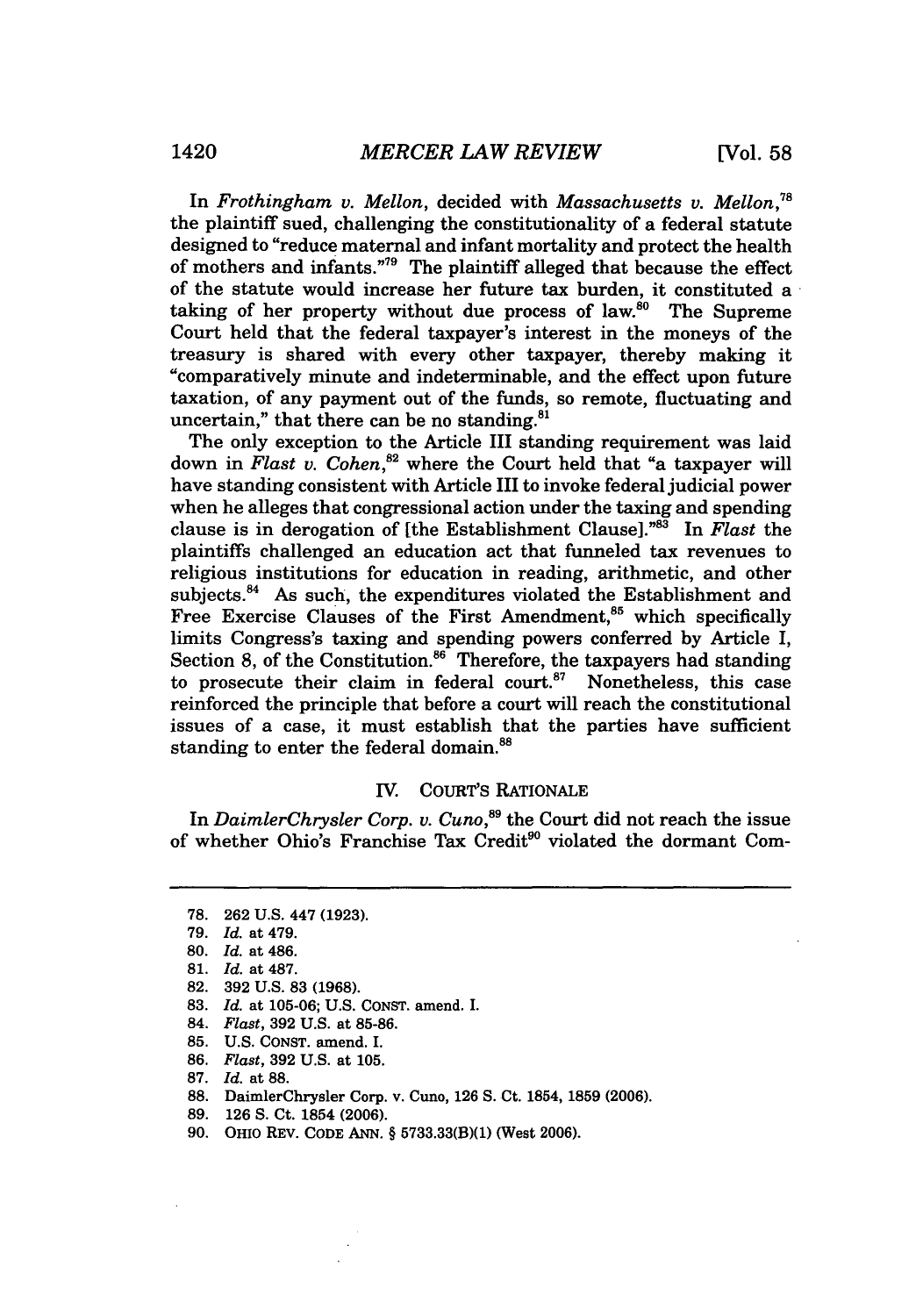In *Frothingham v. Mellon,* decided with *Massachusetts v. Mellon,78* the plaintiff sued, challenging the constitutionality of a federal statute designed to "reduce maternal and infant mortality and protect the health of mothers and infants."79 The plaintiff alleged that because the effect of the statute would increase her future tax burden, it constituted a taking of her property without due process of law.<sup>80</sup> The Supreme Court held that the federal taxpayer's interest in the moneys of the treasury is shared with every other taxpayer, thereby making it "comparatively minute and indeterminable, and the effect upon future taxation, of any payment out of the funds, so remote, fluctuating and uncertain," that there can be no standing.<sup>81</sup>

The only exception to the Article III standing requirement was laid down in *Flast v. Cohen*,<sup>82</sup> where the Court held that "a taxpayer will have standing consistent with Article III to invoke federal judicial power when he alleges that congressional action under the taxing and spending clause is in derogation of [the Establishment Clause]."83 In *Flast* the plaintiffs challenged an education act that funneled tax revenues to religious institutions for education in reading, arithmetic, and other subjects.<sup>84</sup> As such, the expenditures violated the Establishment and Free Exercise Clauses of the First Amendment,<sup>85</sup> which specifically limits Congress's taxing and spending powers conferred by Article I, Section 8, of the Constitution. $86$  Therefore, the taxpayers had standing to prosecute their claim in federal court.<sup>87</sup> Nonetheless, this case reinforced the principle that before a court will reach the constitutional issues of a case, it must establish that the parties have sufficient standing to enter the federal domain.<sup>88</sup>

#### IV. COURT'S RATIONALE

In *DaimlerChrysler Corp. v. Cuno*,<sup>89</sup> the Court did not reach the issue of whether Ohio's Franchise Tax Credit<sup>90</sup> violated the dormant Com-

- 82. 392 U.S. 83 (1968).
- **83.** *Id.* at **105-06; U.S.** CONST. amend. I.
- 84. *Flast,* **392 U.S.** at **85-86.**
- **85. U.S. CONST.** amend. I.
- **86.** *Flast,* **392 U.S.** at **105.**

- 88. DaimlerChrysler Corp. v. Cuno, 126 **S.** Ct. 1854, 1859 (2006).
- 89. 126 S. Ct. 1854 (2006).
- 90. OHIO REV. CODE ANN. § 5733.33(B)(1) (West 2006).

<sup>78. 262</sup> U.S. 447 (1923).

<sup>79.</sup> *Id.* at 479.

<sup>80.</sup> *Id.* at 486.

<sup>81.</sup> *Id.* at 487.

**<sup>87.</sup>** *Id.* at **88.**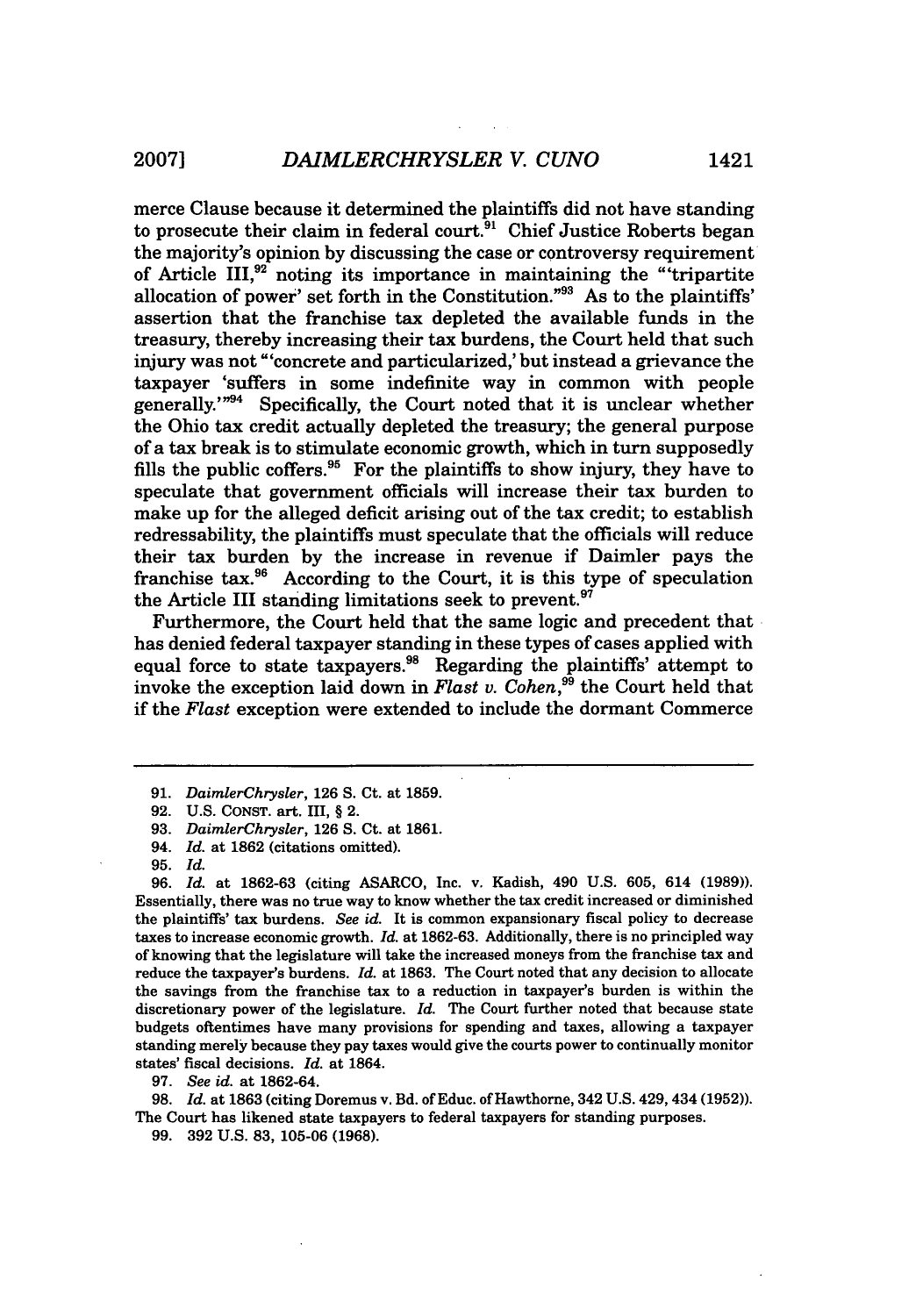merce Clause because it determined the plaintiffs did not have standing to prosecute their claim in federal court.<sup>91</sup> Chief Justice Roberts began the majority's opinion by discussing the case or controversy requirement of Article III,<sup>92</sup> noting its importance in maintaining the "tripartite allocation of power' set forth in the Constitution."<sup>93</sup> As to the plaintiffs assertion that the franchise tax depleted the available funds in the treasury, thereby increasing their tax burdens, the Court held that such injury was not "'concrete and particularized,' but instead a grievance the taxpayer 'suffers in some indefinite way in common with people generally. $1^{n94}$  Specifically, the Court noted that it is unclear whether the Ohio tax credit actually depleted the treasury; the general purpose of a tax break is to stimulate economic growth, which in turn supposedly fills the public coffers.<sup>95</sup> For the plaintiffs to show injury, they have to speculate that government officials will increase their tax burden to make up for the alleged deficit arising out of the tax credit; to establish redressability, the plaintiffs must speculate that the officials will reduce their tax burden by the increase in revenue if Daimler pays the franchise tax.<sup>96</sup> According to the Court, it is this type of speculation the Article III standing limitations seek to prevent.<sup>97</sup>

Furthermore, the Court held that the same logic and precedent that has denied federal taxpayer standing in these types of cases applied with equal force to state taxpayers.<sup>98</sup> Regarding the plaintiffs' attempt to invoke the exception laid down in *Flast v. Cohen*,<sup>99</sup> the Court held that if the *Flast* exception were extended to include the dormant Commerce

 $\bar{z}$ 

**96.** *Id.* at **1862-63** (citing **ASARCO,** Inc. v. Kadish, 490 **U.S. 605,** 614 **(1989)).** Essentially, there was no true way to know whether the tax credit increased or diminished the plaintiffs' tax burdens. *See id.* It is common expansionary fiscal policy to decrease taxes to increase economic growth. *Id.* at **1862-63.** Additionally, there is no principled way of knowing that the legislature will take the increased moneys from the franchise tax and reduce the taxpayer's burdens. *Id.* at **1863.** The Court noted that any decision to allocate the savings from the franchise tax to a reduction in taxpayer's burden is within the discretionary power of the legislature. *Id.* The Court further noted that because state budgets oftentimes have many provisions for spending and taxes, allowing a taxpayer standing merely because they pay taxes would give the courts power to continually monitor states' fiscal decisions. *Id.* at 1864.

**97.** *See id.* at **1862-64.**

**98.** *Id.* at **1863** (citing Doremus v. **Bd.** of Educ. of Hawthorne, 342 **U.S.** 429,434 **(1952)).** The Court has likened state taxpayers to federal taxpayers for standing purposes.

**99. 392 U.S. 83, 105-06 (1968).**

<sup>91.</sup> *DaimlerChrysler,* 126 S. Ct. at 1859.

<sup>92.</sup> U.S. CONST. art. III, § 2.

<sup>93.</sup> *DaimlerChrysler,* 126 **S.** Ct. at **1861.**

<sup>94.</sup> *Id.* at 1862 (citations omitted).

**<sup>95.</sup>** *Id.*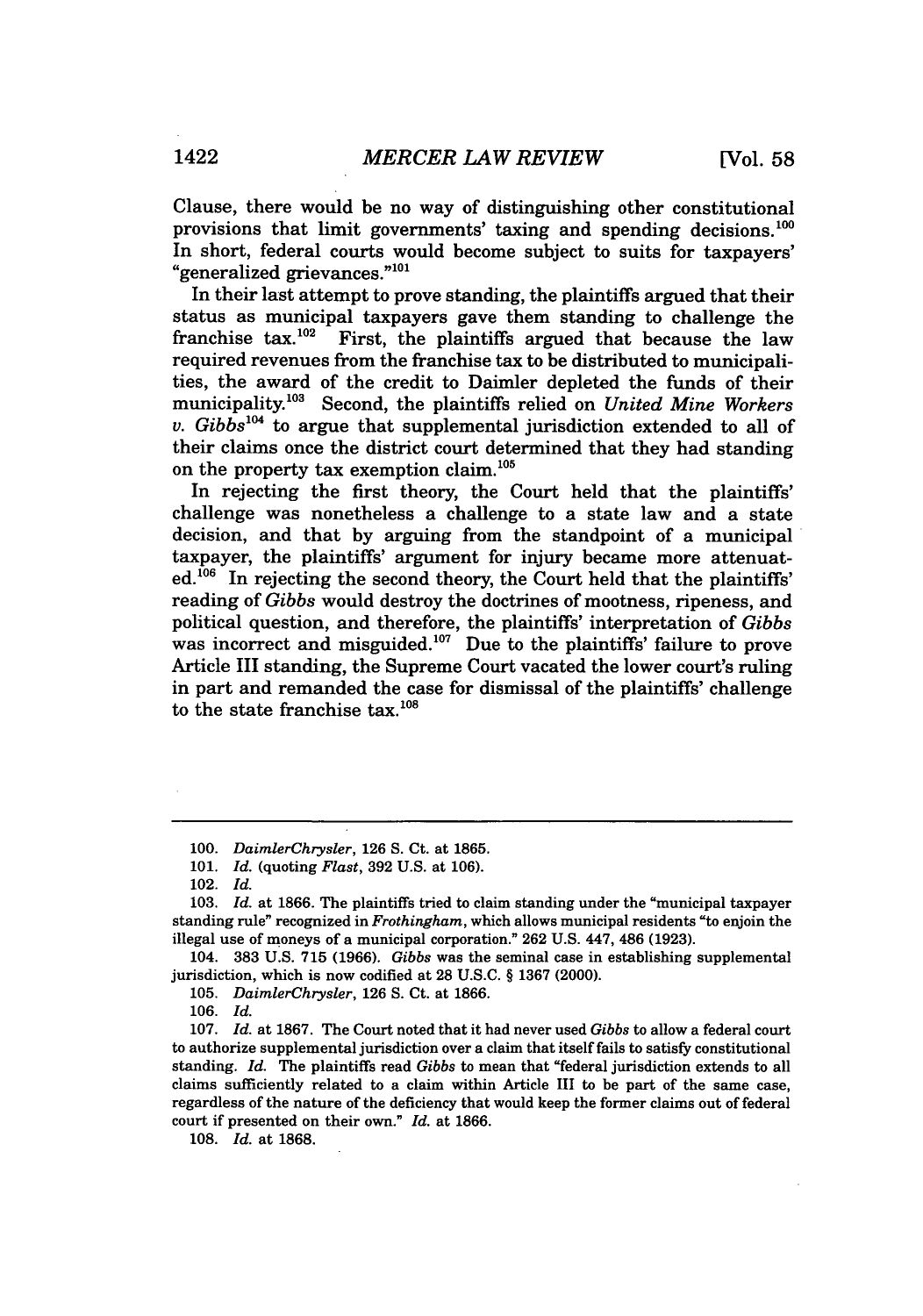Clause, there would be no way of distinguishing other constitutional provisions that limit governments' taxing and spending decisions.<sup>100</sup> In short, federal courts would become subject to suits for taxpayers' "generalized grievances."<sup>101</sup>

In their last attempt to prove standing, the plaintiffs argued that their status as municipal taxpayers gave them standing to challenge the franchise  $tax.^{102}$  First, the plaintiffs argued that because the law required revenues from the franchise tax to be distributed to municipalities, the award of the credit to Daimler depleted the funds of their municipality.<sup>103</sup> Second, the plaintiffs relied on *United Mine Workers* v.  $Gibbs^{104}$  to argue that supplemental jurisdiction extended to all of their claims once the district court determined that they had standing on the property tax exemption claim.<sup>105</sup>

In rejecting the first theory, the Court held that the plaintiffs' challenge was nonetheless a challenge to a state law and a state decision, and that by arguing from the standpoint of a municipal taxpayer, the plaintiffs' argument for injury became more attenuat $ed<sup>106</sup>$  In rejecting the second theory, the Court held that the plaintiffs' reading of *Gibbs* would destroy the doctrines of mootness, ripeness, and political question, and therefore, the plaintiffs' interpretation of *Gibbs* was incorrect and misguided.<sup>107</sup> Due to the plaintiffs' failure to prove Article III standing, the Supreme Court vacated the lower court's ruling in part and remanded the case for dismissal of the plaintiffs' challenge to the state franchise tax. $108$ 

<sup>100.</sup> *DaimlerChrysler,* 126 S. Ct. at 1865.

<sup>101.</sup> *Id.* (quoting *Flast,* 392 U.S. at 106).

<sup>102.</sup> *Id.*

<sup>103.</sup> *Id.* at **1866.** The plaintiffs tried to claim standing under the "municipal taxpayer standing rule" recognized in *Frothingham,* which allows municipal residents "to enjoin the illegal use of moneys of a municipal corporation." 262 U.S. 447, 486 (1923).

<sup>104. 383</sup> U.S. 715 (1966). *Gibbs* was the seminal case in establishing supplemental jurisdiction, which is now codified at 28 U.S.C. § 1367 (2000).

<sup>105.</sup> *DaimlerChrysler,* 126 **S.** Ct. at 1866.

<sup>106.</sup> *Id.*

<sup>107.</sup> *Id.* at 1867. The Court noted that it had never used *Gibbs* to allow a federal court to authorize supplemental jurisdiction over a claim that itself fails to satisfy constitutional standing. *Id.* The plaintiffs read *Gibbs* to mean that "federal jurisdiction extends to all claims sufficiently related to a claim within Article III to be part of the same case, regardless of the nature of the deficiency that would keep the former claims out of federal court if presented on their own." *Id.* at 1866.

<sup>108.</sup> *Id.* at 1868.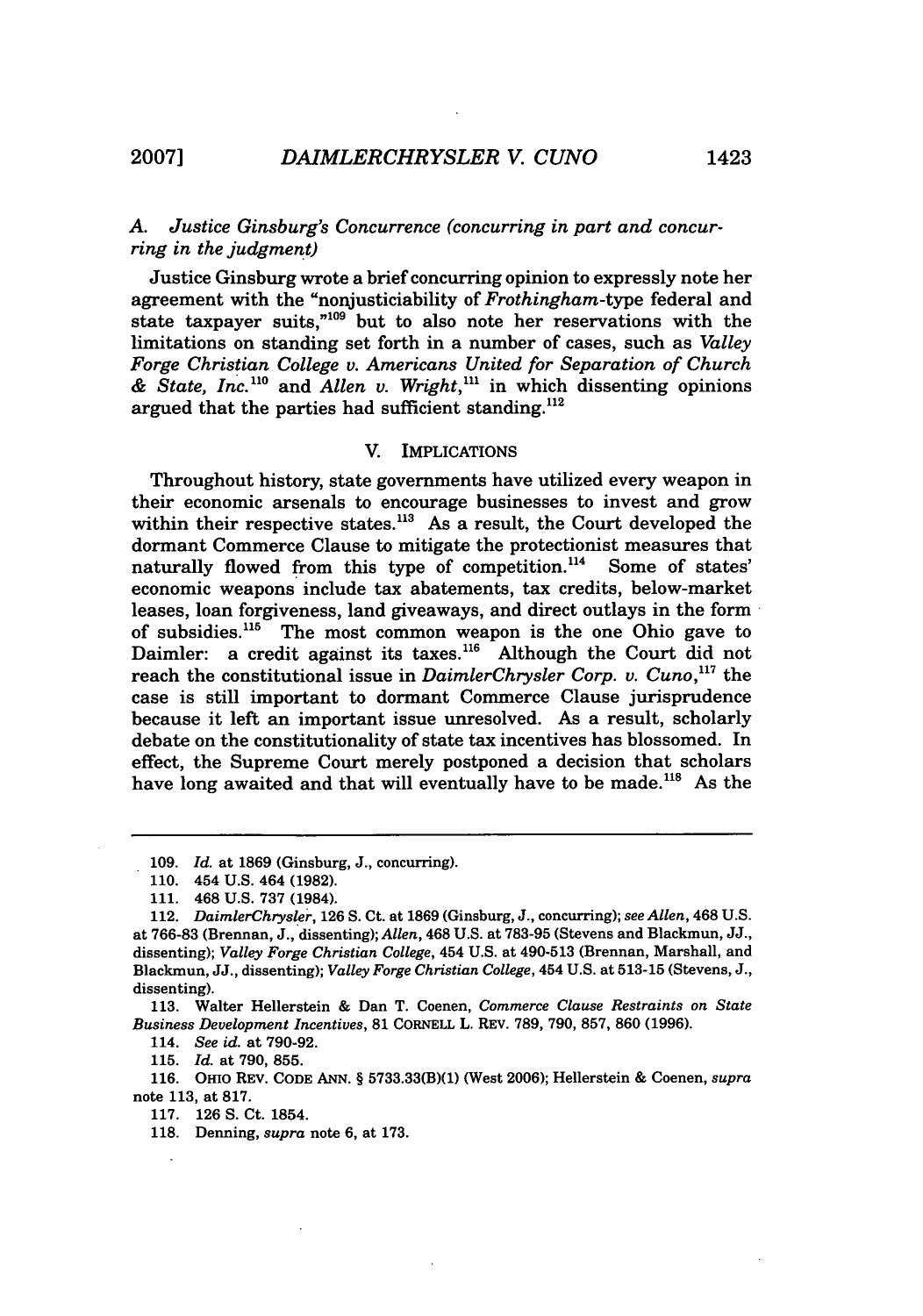#### *A. Justice Ginsburg's Concurrence (concurring in part and concurring in the judgment)*

Justice Ginsburg wrote a brief concurring opinion to expressly note her agreement with the "nonjusticiability of *Frothingham-type* federal and state taxpayer suits,"<sup>109</sup> but to also note her reservations with the limitations on standing set forth in a number of cases, such as *Valley Forge Christian College v. Americans United for Separation of Church & State, Inc."0* and *Allen v. Wright,"'* in which dissenting opinions argued that the parties had sufficient standing. $^{112}$ 

#### V. IMPLICATIONS

Throughout history, state governments have utilized every weapon in their economic arsenals to encourage businesses to invest and grow within their respective states.<sup>113</sup> As a result, the Court developed the dormant Commerce Clause to mitigate the protectionist measures that naturally flowed from this type of competition.<sup>114</sup> Some of states' economic weapons include tax abatements, tax credits, below-market leases, loan forgiveness, land giveaways, and direct outlays in the form of subsidies.<sup>115</sup> The most common weapon is the one Ohio gave to Daimler: a credit against its taxes.<sup>116</sup> Although the Court did not reach the constitutional issue in *DaimlerChrysler Corp. v. Cuno*.<sup>117</sup> the case is still important to dormant Commerce Clause jurisprudence because it left an important issue unresolved. As a result, scholarly debate on the constitutionality of state tax incentives has blossomed. In effect, the Supreme Court merely postponed a decision that scholars have long awaited and that will eventually have to be made.<sup>118</sup> As the

113. Walter Hellerstein & Dan T. Coenen, *Commerce Clause Restraints on State Business Development Incentives,* 81 CORNELL L. REV. 789, 790, 857, 860 (1996).

114. *See id.* at 790-92.

115. *Id.* at 790, 855.

116. **OHIo** REV. CODE **ANN.** § 5733.33(B)(1) (West 2006); Hellerstein & Coenen, *supra* note 113, at **817.**

**117. 126 S.** Ct. 1854.

118. Denning, *supra* note 6, at 173.

<sup>109.</sup> *Id.* at 1869 (Ginsburg, J., concurring).

<sup>110. 454</sup> U.S. 464 (1982).

<sup>111. 468</sup> U.S. 737 (1984).

<sup>112.</sup> *DaimlerChrysler,* 126 **S.** Ct. at 1869 (Ginsburg, J., concurring); *see Allen,* 468 U.S. at 766-83 (Brennan, J., dissenting); *Allen,* 468 U.S. at 783-95 (Stevens and Blackmun, JJ., dissenting); *Valley Forge Christian College,* 454 U.S. at 490-513 (Brennan, Marshall, and Blackmun, JJ., dissenting); *Valley Forge Christian College,* 454 U.S. at **513-15** (Stevens, J., dissenting).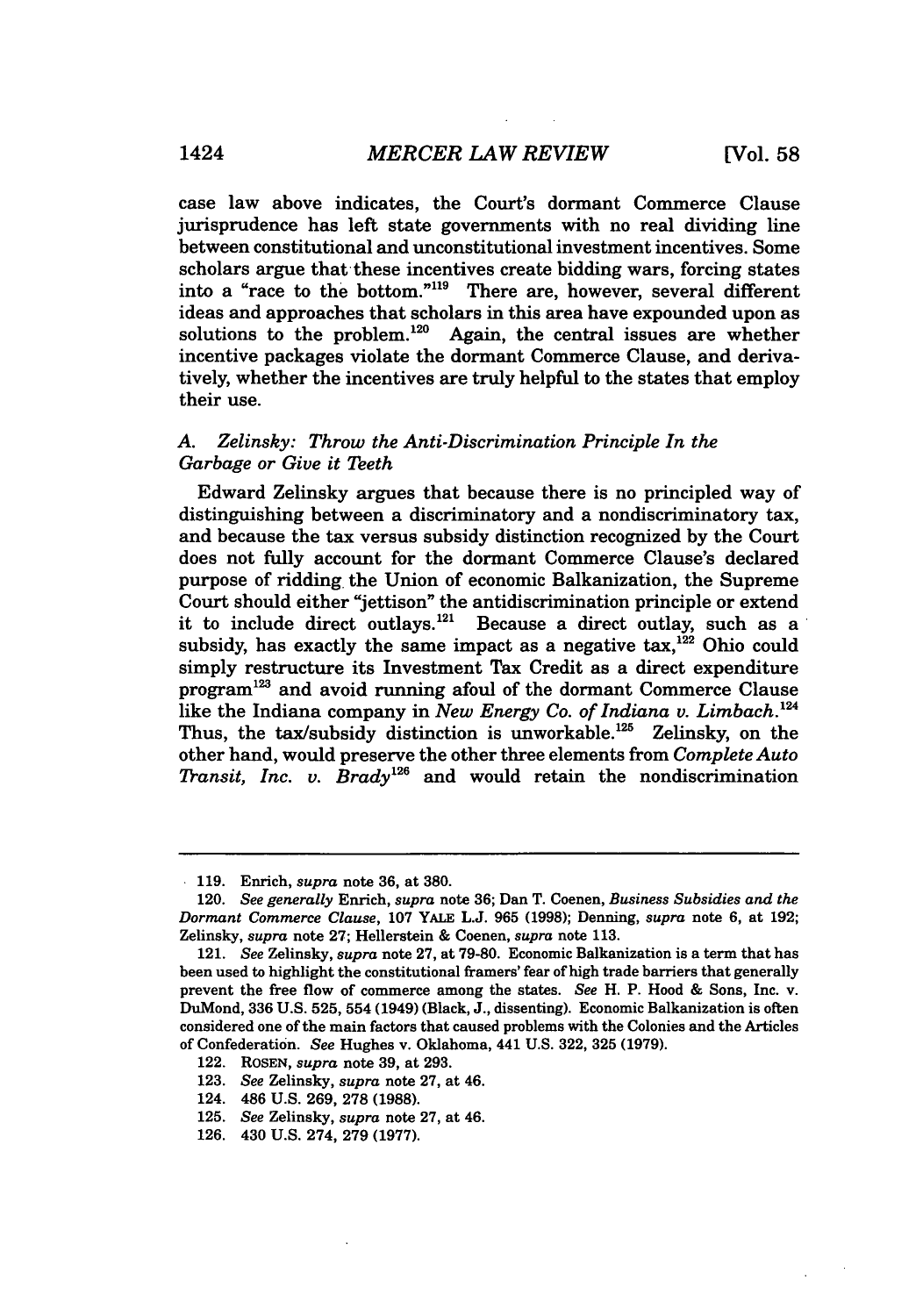case law above indicates, the Court's dormant Commerce Clause jurisprudence has left state governments with no real dividing line between constitutional and unconstitutional investment incentives. Some scholars argue that these incentives create bidding wars, forcing states into a "race to the bottom."119 There are, however, several different ideas and approaches that scholars in this area have expounded upon as solutions to the problem. $120$  Again, the central issues are whether incentive packages violate the dormant Commerce Clause, and derivatively, whether the incentives are truly helpful to the states that employ their use.

#### *A. Zelinsky: Throw the Anti-Discrimination Principle In the Garbage or Give it Teeth*

Edward Zelinsky argues that because there is no principled way of distinguishing between a discriminatory and a nondiscriminatory tax, and because the tax versus subsidy distinction recognized by the Court does not fully account for the dormant Commerce Clause's declared purpose of ridding. the Union of economic Balkanization, the Supreme Court should either "jettison" the antidiscrimination principle or extend it to include direct outlays.<sup>121</sup> Because a direct outlay, such as a subsidy, has exactly the same impact as a negative  $\text{tax}_1^{122}$  Ohio could simply restructure its Investment Tax Credit as a direct expenditure  $program<sup>123</sup>$  and avoid running afoul of the dormant Commerce Clause like the Indiana company in *New Energy Co. of Indiana v. Limbach.'24* Thus, the tax/subsidy distinction is unworkable.<sup>125</sup> Zelinsky, on the other hand, would preserve the other three elements from *Complete Auto Transit, Inc. v. Brady*<sup>126</sup> and would retain the nondiscrimination

<sup>119.</sup> Enrich, *supra* note 36, at 380.

<sup>120.</sup> *See generally* Enrich, *supra* note 36; Dan T. Coenen, *Business Subsidies and the Dormant Commerce Clause,* 107 YALE L.J. 965 **(1998);** Denning, *supra* note 6, at 192; Zelinsky, *supra* note 27; Hellerstein & Coenen, *supra* note 113.

<sup>121.</sup> *See* Zelinsky, *supra* note 27, at 79-80. Economic Balkanization is a term that has been used to highlight the constitutional framers' fear of high trade barriers that generally prevent the free flow of commerce among the states. *See* H. P. Hood & Sons, Inc. v. DuMond, 336 U.S. 525, 554 (1949) (Black, J., dissenting). Economic Balkanization is often considered one of the main factors that caused problems with the Colonies and the Articles of Confederation. *See* Hughes v. Oklahoma, 441 U.S. 322, 325 (1979).

<sup>122.</sup> ROSEN, *supra* note 39, at 293.

<sup>123.</sup> *See* Zelinsky, *supra* note 27, at 46.

<sup>124. 486</sup> U.S. 269, 278 **(1988).**

<sup>125.</sup> *See* Zelinsky, *supra* note 27, at 46.

<sup>126. 430</sup> U.S. 274, 279 (1977).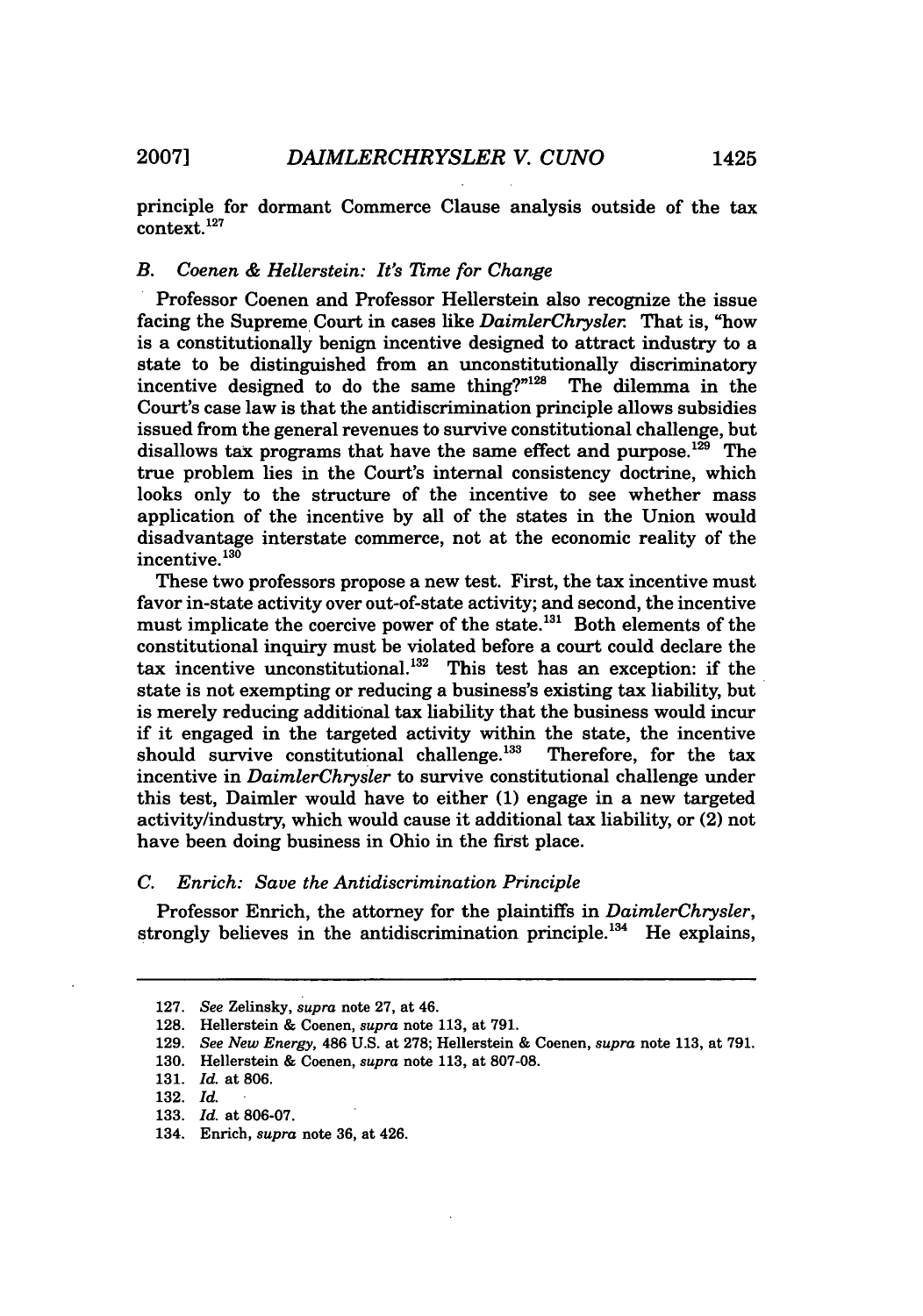principle for dormant Commerce Clause analysis outside of the tax context. **<sup>12</sup> <sup>7</sup>**

#### *B. Coenen & Hellerstein: It's Time for Change*

Professor Coenen and Professor Hellerstein also recognize the issue facing the Supreme Court in cases like *DaimlerChrysler.* That is, "how is a constitutionally benign incentive designed to attract industry to a state to be distinguished from an unconstitutionally discriminatory incentive designed to do the same thing?"<sup>128</sup> The dilemma in the Court's case law is that the antidiscrimination principle allows subsidies issued from the general revenues to survive constitutional challenge, but disallows tax programs that have the same effect and purpose.<sup>129</sup> The true problem lies in the Court's internal consistency doctrine, which looks only to the structure of the incentive to see whether mass application of the incentive by all of the states in the Union would disadvantage interstate commerce, not at the economic reality of the incentive.<sup>130</sup>

These two professors propose a new test. First, the tax incentive must favor in-state activity over out-of-state activity; and second, the incentive must implicate the coercive power of the state.<sup>131</sup> Both elements of the constitutional inquiry must be violated before a court could declare the tax incentive unconstitutional.<sup>132</sup> This test has an exception: if the state is not exempting or reducing a business's existing tax liability, but is merely reducing additional tax liability that the business would incur if it engaged in the targeted activity within the state, the incentive should survive constitutional challenge.<sup>133</sup> Therefore, for the tax incentive in *DaimlerChrysler* to survive constitutional challenge under this test, Daimler would have to either **(1)** engage in a new targeted activity/industry, which would cause it additional tax liability, or (2) not have been doing business in Ohio in the first place.

Professor Enrich, the attorney for the plaintiffs in *DaimlerChrysler,* strongly believes in the antidiscrimination principle.<sup>134</sup> He explains,

- 129. *See New Energy,* 486 U.S. at 278; Hellerstein & Coenen, *supra* note 113, at 791.
- 130. Hellerstein & Coenen, *supra* note 113, at 807-08.

*C. Enrich: Save the Antidiscrimination Principle*

<sup>127.</sup> *See* Zelinsky, *supra* note 27, at 46.

<sup>128.</sup> Hellerstein & Coenen, *supra* note 113, at 791.

<sup>131.</sup> *Id.* at 806.

<sup>132.</sup> *Id.*

<sup>133.</sup> *Id.* at 806-07.

<sup>134.</sup> Enrich, *supra* note **36,** at 426.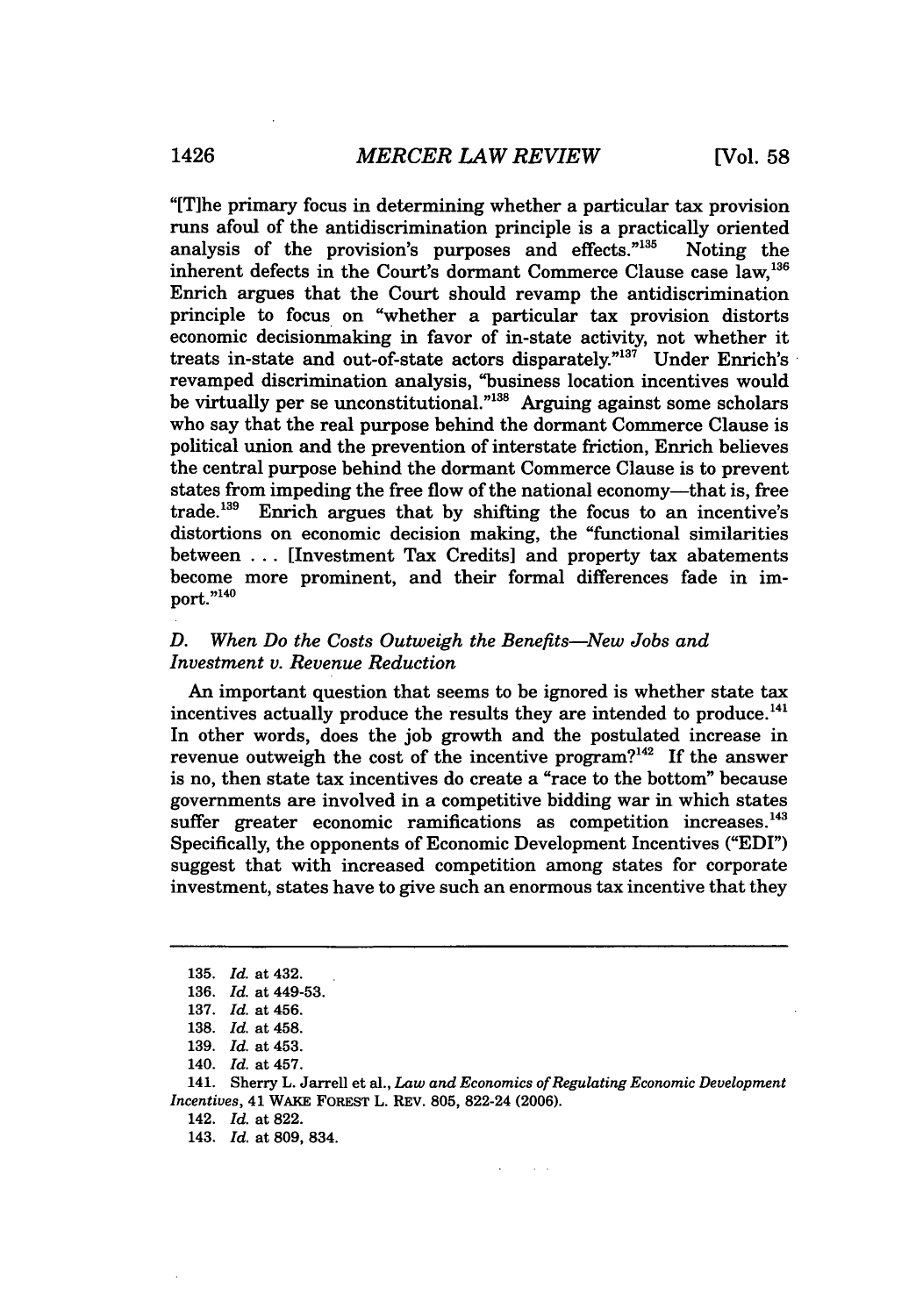"[Tihe primary focus in determining whether a particular tax provision runs afoul of the antidiscrimination principle is a practically oriented analysis of the provision's purposes and effects."<sup>135</sup> Noting the inherent defects in the Court's dormant Commerce Clause case law.<sup>136</sup> Enrich argues that the Court should revamp the antidiscrimination principle to focus on "whether a particular tax provision distorts economic decisionmaking in favor of in-state activity, not whether it treats in-state and out-of-state actors disparately." $137$  Under Enrich's revamped discrimination analysis, "business location incentives would be virtually per se unconstitutional."<sup>138</sup> Arguing against some scholars who say that the real purpose behind the dormant Commerce Clause is political union and the prevention of interstate friction, Enrich believes the central purpose behind the dormant Commerce Clause is to prevent states from impeding the free flow of the national economy—that is, free trade.<sup>139</sup> Enrich argues that by shifting the focus to an incentive's distortions on economic decision making, the "functional similarities between **. ..** [Investment Tax Credits] and property tax abatements become more prominent, and their formal differences fade in im- $_{\rm port.}^{\rm become.}$ 

#### *D. When Do the Costs Outweigh the Benefits-New Jobs and Investment v. Revenue Reduction*

An important question that seems to be ignored is whether state tax incentives actually produce the results they are intended to produce.<sup>141</sup> In other words, does the **job** growth and the postulated increase in revenue outweigh the cost of the incentive program?<sup>142</sup> If the answer is no, then state tax incentives do create a "race to the bottom" because governments are involved in a competitive bidding war in which states suffer greater economic ramifications as competition increases.<sup>143</sup> Specifically, the opponents of Economic Development Incentives ("EDI") suggest that with increased competition among states for corporate investment, states have to give such an enormous tax incentive that they

**<sup>135.</sup>** *Id.* at **432.**

**<sup>136.</sup>** *Id.* at **449-53.**

**<sup>137.</sup>** *Id.* at **456.**

**<sup>138.</sup>** *Id.* at **458.**

**<sup>139.</sup>** *Id.* at **453.**

**<sup>140.</sup>** *Id.* at **457.**

**<sup>141.</sup>** Sherry **L.** Jarrell **et al.,** *Law and Economics of Regulating Economic Development Incentives,* 41 **WAKE** FOREST L. REV. **805,** 822-24 **(2006).**

<sup>142.</sup> *Id.* at **822.**

<sup>143.</sup> *Id.* at **809,** 834.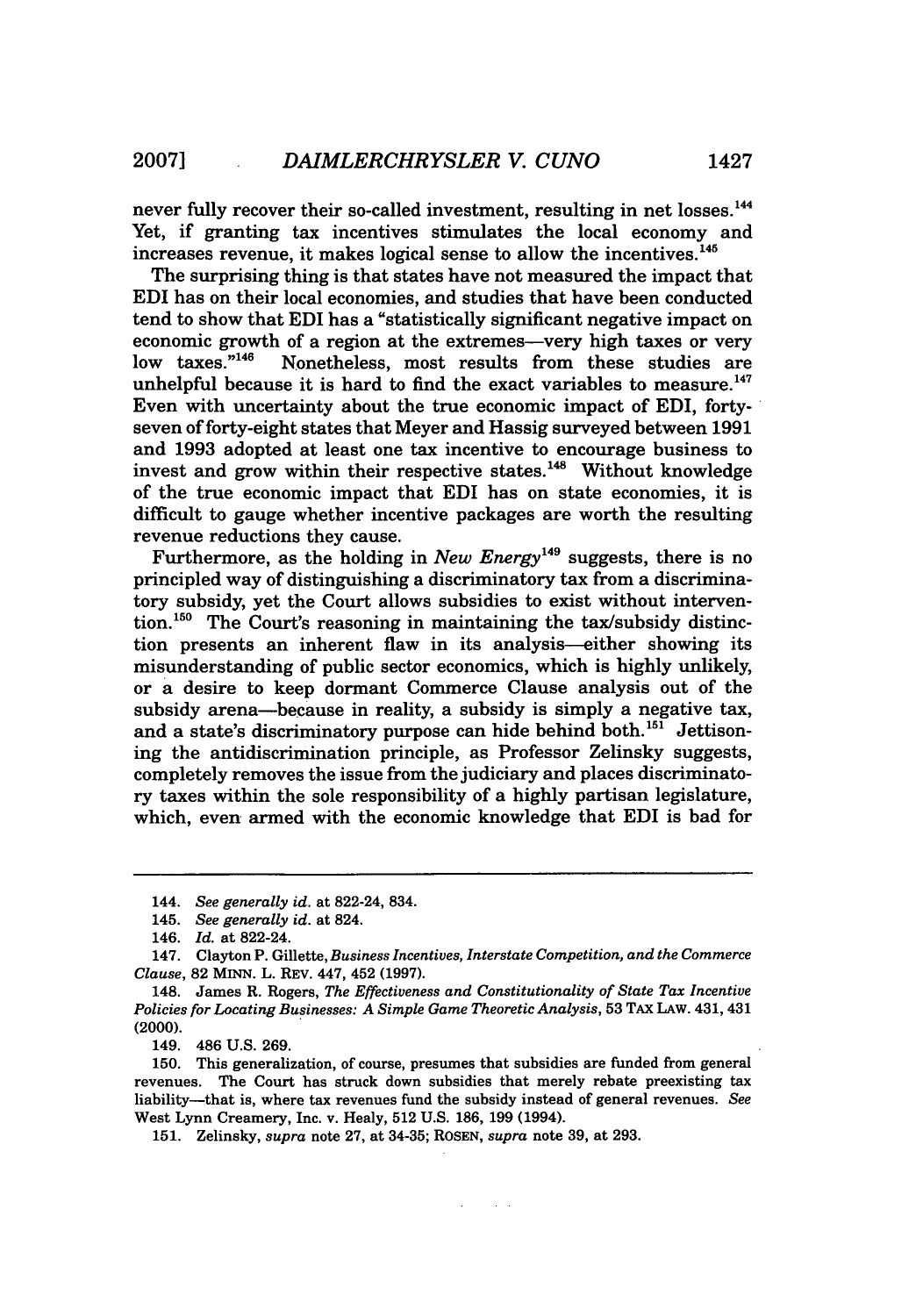never fully recover their so-called investment, resulting in net losses.<sup>144</sup> Yet, if granting tax incentives stimulates the local economy and increases revenue, it makes logical sense to allow the incentives. <sup>145</sup>

The surprising thing is that states have not measured the impact that EDI has on their local economies, and studies that have been conducted tend to show that EDI has a "statistically significant negative impact on economic growth of a region at the extremes—very high taxes or very<br>low taxes.<sup>"146</sup> Nonetheless, most results from these studies are Nonetheless, most results from these studies are unhelpful because it is hard to find the exact variables to measure.<sup>147</sup> Even with uncertainty about the true economic impact of EDI, fortyseven of forty-eight states that Meyer and Hassig surveyed between 1991 and 1993 adopted at least one tax incentive to encourage business to invest and grow within their respective states.<sup>148</sup> Without knowledge of the true economic impact that EDI has on state economies, it is difficult to gauge whether incentive packages are worth the resulting revenue reductions they cause.

Furthermore, as the holding in *New Energy* **149** suggests, there is no principled way of distinguishing a discriminatory tax from a discriminatory subsidy, yet the Court allows subsidies to exist without intervention.<sup>150</sup> The Court's reasoning in maintaining the tax/subsidy distinction presents an inherent flaw in its analysis-either showing its misunderstanding of public sector economics, which is highly unlikely, or a desire to keep dormant Commerce Clause analysis out of the subsidy arena-because in reality, a subsidy is simply a negative tax, and a state's discriminatory purpose can hide behind both.<sup>151</sup> Jettisoning the antidiscrimination principle, as Professor Zelinsky suggests, completely removes the issue from the judiciary and places discriminatory taxes within the sole responsibility of a highly partisan legislature, which, even armed with the economic knowledge that EDI is bad for

149. 486 U.S. 269.

150. This generalization, of course, presumes that subsidies are funded from general revenues. The Court has struck down subsidies that merely rebate preexisting tax liability-that is, where tax revenues fund the subsidy instead of general revenues. *See* West Lynn Creamery, Inc. v. Healy, 512 U.S. 186, 199 (1994).

 $\sim 10^{-1}$  .

151. Zelinsky, *supra* note 27, at 34-35; ROSEN, *supra* note 39, at 293.

<sup>144.</sup> *See generally id.* at 822-24, 834.

<sup>145.</sup> *See generally id.* at 824.

<sup>146.</sup> *Id.* at 822-24.

<sup>147.</sup> Clayton P. Gillette, *Business Incentives, Interstate Competition, and the Commerce Clause,* 82 MINN. L. REV. 447, 452 (1997).

<sup>148.</sup> James R. Rogers, *The Effectiveness and Constitutionality of State Tax Incentive Policies for Locating Businesses: A Simple Game Theoretic Analysis,* 53 TAX LAW. 431, 431 (2000).